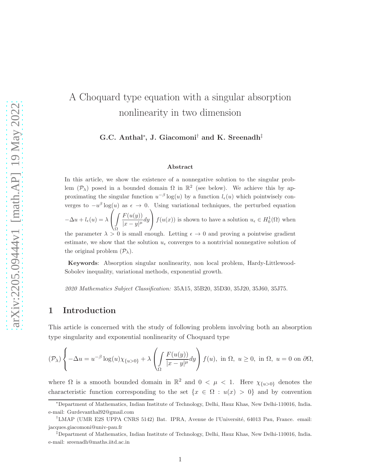# A Choquard type equation with a singular absorption nonlinearity in two dimension

#### G.C. Anthal<sup>∗</sup> , J. Giacomoni† and K. Sreenadh‡

#### Abstract

In this article, we show the existence of a nonnegative solution to the singular problem  $(\mathcal{P}_\lambda)$  posed in a bounded domain  $\Omega$  in  $\mathbb{R}^2$  (see below). We achieve this by approximating the singular function  $u^{-\beta} \log(u)$  by a function  $l_{\epsilon}(u)$  which pointwisely converges to  $-u^{\beta} \log(u)$  as  $\epsilon \to 0$ . Using variational techniques, the perturbed equation  $-\Delta u + l_{\epsilon}(u) = \lambda$  $\gamma$  $\mathbf{I}$ Ω  $F(u(y))$  $\frac{1}{|x-y|^{\mu}}dy$  $\left( \right)$  $f(u(x))$  is shown to have a solution  $u_{\epsilon} \in H_0^1(\Omega)$  when the parameter  $\lambda > 0$  is small enough. Letting  $\epsilon \to 0$  and proving a pointwise gradient estimate, we show that the solution  $u_{\epsilon}$  converges to a nontrivial nonnegative solution of the original problem  $(\mathcal{P}_{\lambda})$ .

Keywords: Absorption singular nonlinearity, non local problem, Hardy-Littlewood-Sobolev inequality, variational methods, exponential growth.

2020 Mathematics Subject Classification: 35A15, 35B20, 35D30, 35J20, 35J60, 35J75.

### 1 Introduction

This article is concerned with the study of following problem involving both an absorption type singularity and exponential nonlinearity of Choquard type

$$
(\mathcal{P}_{\lambda})\left\{-\Delta u=u^{-\beta}\log(u)\chi_{\{u>0\}}+\lambda\left(\int\limits_{\Omega}\frac{F(u(y))}{|x-y|^{\mu}}dy\right)f(u), \text{ in }\Omega,\ u\geq0, \text{ in }\Omega,\ u=0 \text{ on }\partial\Omega,
$$

where  $\Omega$  is a smooth bounded domain in  $\mathbb{R}^2$  and  $0 < \mu < 1$ . Here  $\chi_{\{u>0\}}$  denotes the characteristic function corresponding to the set  $\{x \in \Omega : u(x) > 0\}$  and by convention

<sup>∗</sup>Department of Mathematics, Indian Institute of Technology, Delhi, Hauz Khas, New Delhi-110016, India. e-mail: Gurdevanthal92@gmail.com

<sup>&</sup>lt;sup>†</sup>LMAP (UMR E2S UPPA CNRS 5142) Bat. IPRA, Avenue de l'Université, 64013 Pau, France. email: jacques.giacomoni@univ-pau.fr

<sup>‡</sup>Department of Mathematics, Indian Institute of Technology, Delhi, Hauz Khas, New Delhi-110016, India. e-mail: sreenadh@maths.iitd.ac.in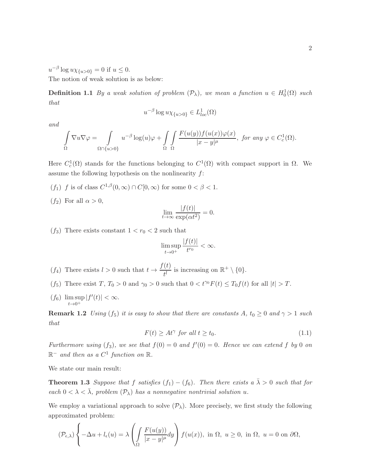$u^{-\beta} \log u \chi_{\{u>0\}} = 0$  if  $u \leq 0$ .

The notion of weak solution is as below:

**Definition 1.1** By a weak solution of problem  $(\mathcal{P}_{\lambda})$ , we mean a function  $u \in H_0^1(\Omega)$  such that

$$
u^{-\beta}\log u\chi_{\{u>0\}}\in L^1_{loc}(\Omega)
$$

and

$$
\int_{\Omega} \nabla u \nabla \varphi = \int_{\Omega \cap \{u > 0\}} u^{-\beta} \log(u) \varphi + \int_{\Omega} \int_{\Omega} \frac{F(u(y)) f(u(x)) \varphi(x)}{|x - y|^{\mu}}, \text{ for any } \varphi \in C_c^1(\Omega).
$$

Here  $C_c^1(\Omega)$  stands for the functions belonging to  $C^1(\Omega)$  with compact support in  $\Omega$ . We assume the following hypothesis on the nonlinearity  $f$ :

- $(f_1)$  f is of class  $C^{1,\beta}(0,\infty) \cap C[0,\infty)$  for some  $0 < \beta < 1$ .
- $(f_2)$  For all  $\alpha > 0$ ,

$$
\lim_{t \to \infty} \frac{|f(t)|}{\exp(\alpha t^2)} = 0.
$$

 $(f_3)$  There exists constant  $1 < r_0 < 2$  such that

$$
\limsup_{t\to 0^+}\frac{|f(t)|}{t^{r_0}}<\infty.
$$

- $(f_4)$  There exists  $l > 0$  such that  $t \to \frac{f(t)}{t}$  $\frac{\lambda^{(t)}}{t^{l}}$  is increasing on  $\mathbb{R}^+ \setminus \{0\}.$
- (f<sub>5</sub>) There exist  $T, T_0 > 0$  and  $\gamma_0 > 0$  such that  $0 < t^{\gamma_0} F(t) \leq T_0 f(t)$  for all  $|t| > T$ .
- $(f_6)$  lim sup  $t\rightarrow 0^+$  $|f'(t)| < \infty$ .

**Remark 1.2** Using  $(f_5)$  it is easy to show that there are constants A,  $t_0 \geq 0$  and  $\gamma > 1$  such that

<span id="page-1-1"></span><span id="page-1-0"></span>
$$
F(t) \ge At^{\gamma} \text{ for all } t \ge t_0. \tag{1.1}
$$

Furthermore using  $(f_3)$ , we see that  $f(0) = 0$  and  $f'(0) = 0$ . Hence we can extend f by 0 on  $\mathbb{R}^-$  and then as a  $C^1$  function on  $\mathbb{R}$ .

We state our main result:

**Theorem 1.3** Suppose that f satisfies  $(f_1) - (f_6)$ . Then there exists a  $\bar{\lambda} > 0$  such that for each  $0 < \lambda < \overline{\lambda}$ , problem  $(\mathcal{P}_{\lambda})$  has a nonnegative nontrivial solution u.

We employ a variational approach to solve  $(\mathcal{P}_{\lambda})$ . More precisely, we first study the following approximated problem:

$$
(\mathcal{P}_{\epsilon,\lambda})\left\{-\Delta u+l_{\epsilon}(u)=\lambda\left(\int\limits_{\Omega}\frac{F(u(y))}{|x-y|^{\mu}}dy\right)f(u(x)),\text{ in }\Omega,\ u\geq0,\text{ in }\Omega,\ u=0\text{ on }\partial\Omega,
$$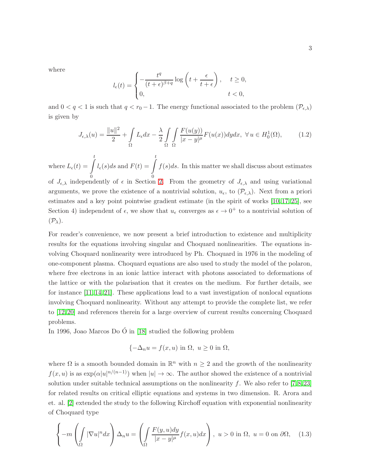where

$$
l_{\epsilon}(t) = \begin{cases} -\frac{t^{q}}{(t+\epsilon)^{\beta+q}} \log\left(t + \frac{\epsilon}{t+\epsilon}\right), & t \ge 0, \\ 0, & t < 0, \end{cases}
$$

and  $0 < q < 1$  is such that  $q < r_0 - 1$ . The energy functional associated to the problem  $(\mathcal{P}_{\epsilon,\lambda})$ is given by

<span id="page-2-1"></span>
$$
J_{\epsilon,\lambda}(u) = \frac{\|u\|^2}{2} + \int_{\Omega} L_{\epsilon} dx - \frac{\lambda}{2} \int_{\Omega} \int_{\Omega} \frac{F(u(y))}{|x - y|^{\mu}} F(u(x)) dy dx, \ \forall u \in H_0^1(\Omega), \tag{1.2}
$$

where  $L_{\epsilon}(t) = \int_{-\epsilon}^{t} l_{\epsilon}(s)ds$  and  $F(t) = \int_{-\epsilon}^{t}$ of  $J_{\epsilon,\lambda}$  independently of  $\epsilon$  in Section [2.](#page-4-0) From the geometry of  $J_{\epsilon,\lambda}$  and using variational  $f(s)ds$ . In this matter we shall discuss about estimates arguments, we prove the existence of a nontrivial solution,  $u_{\epsilon}$ , to  $(\mathcal{P}_{\epsilon,\lambda})$ . Next from a priori estimates and a key point pointwise gradient estimate (in the spirit of works [\[10,](#page-26-0) [17,](#page-26-1) [25\]](#page-27-0), see Section 4) independent of  $\epsilon$ , we show that  $u_{\epsilon}$  converges as  $\epsilon \to 0^+$  to a nontrivial solution of  $(\mathcal{P}_{\lambda}).$ 

For reader's convenience, we now present a brief introduction to existence and multiplicity results for the equations involving singular and Choquard nonlinearities. The equations involving Choquard nonlinearity were introduced by Ph. Choquard in 1976 in the modeling of one-component plasma. Choquard equations are also used to study the model of the polaron, where free electrons in an ionic lattice interact with photons associated to deformations of the lattice or with the polarisation that it creates on the medium. For further details, see for instance [\[11,](#page-26-2) [14,](#page-26-3) [21\]](#page-27-1). These applications lead to a vast investigation of nonlocal equations involving Choquard nonlinearity. Without any attempt to provide the complete list, we refer to [\[12,](#page-26-4) [20\]](#page-26-5) and references therein for a large overview of current results concerning Choquard problems.

In 1996, Joao Marcos Do  $\acute{O}$  in [\[18\]](#page-26-6) studied the following problem

$$
\{-\Delta_n u = f(x, u) \text{ in } \Omega, u \ge 0 \text{ in } \Omega,
$$

where  $\Omega$  is a smooth bounded domain in  $\mathbb{R}^n$  with  $n \geq 2$  and the growth of the nonlinearity  $f(x, u)$  is as  $\exp(\alpha |u|^{n/(n-1)})$  when  $|u| \to \infty$ . The author showed the existence of a nontrivial solution under suitable technical assumptions on the nonlinearity f. We also refer to  $[7,8,23]$  $[7,8,23]$  $[7,8,23]$ for related results on critical elliptic equations and systems in two dimension. R. Arora and et. al. [\[2\]](#page-25-0) extended the study to the following Kirchoff equation with exponential nonlinearity of Choquard type

<span id="page-2-0"></span>
$$
\left\{-m\left(\int_{\Omega}|\nabla u|^n dx\right)\Delta_n u=\left(\int_{\Omega}\frac{F(y,u)dy}{|x-y|^{\mu}}f(x,u)dx\right),\ u>0\ \text{in}\ \Omega,\ u=0\ \text{on}\ \partial\Omega,\tag{1.3}
$$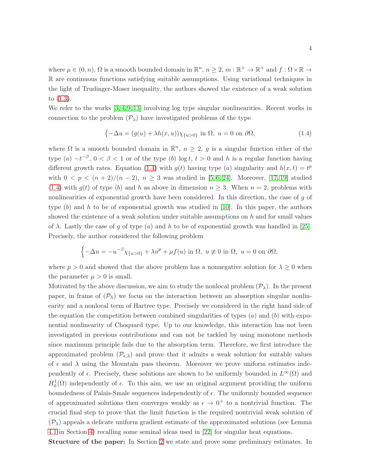where  $\mu \in (0, n)$ ,  $\Omega$  is a smooth bounded domain in  $\mathbb{R}^n$ ,  $n \geq 2$ ,  $m : \mathbb{R}^+ \to \mathbb{R}^+$  and  $f : \Omega \times \mathbb{R} \to$ R are continuous functions satisfying suitable assumptions. Using variational techniques in the light of Trudinger-Moser inequality, the authors showed the existence of a weak solution to [\(1.3\)](#page-2-0).

We refer to the works [\[3,](#page-25-1) [4,](#page-25-2) [9,](#page-26-9) [13\]](#page-26-10) involving log type singular nonlinearities. Recent works in connection to the problem  $(\mathcal{P}_{\lambda})$  have investigated problems of the type

<span id="page-3-0"></span>
$$
\{-\Delta u = (g(u) + \lambda h(x, u))\chi_{\{u>0\}} \text{ in } \Omega, u = 0 \text{ on } \partial\Omega,
$$
\n(1.4)

where  $\Omega$  is a smooth bounded domain in  $\mathbb{R}^n$ ,  $n \geq 2$ , g is a singular function either of the type  $(a)$   $-t^{-\beta}$ ,  $0 < \beta < 1$  or of the type  $(b)$  log t,  $t > 0$  and h is a regular function having different growth rates. Equation [\(1.4\)](#page-3-0) with  $g(t)$  having type (a) singularity and  $h(x,t) = t^p$ with  $0 < p < (n+2)/(n-2)$ ,  $n \ge 3$  was studied in [\[5,](#page-26-11) [6,](#page-26-12) [24\]](#page-27-3). Moreover, [\[17,](#page-26-1) [19\]](#page-26-13) studied [\(1.4\)](#page-3-0) with  $g(t)$  of type (b) and h as above in dimension  $n \geq 3$ . When  $n = 2$ , problems with nonlinearities of exponential growth have been considered. In this direction, the case of g of type  $(b)$  and h to be of exponential growth was studied in [\[10\]](#page-26-0). In this paper, the authors showed the existence of a weak solution under suitable assumptions on  $h$  and for small values of  $\lambda$ . Lastly the case of g of type (a) and h to be of exponential growth was handled in [\[25\]](#page-27-0). Precisely, the author considered the following problem

$$
\left\{-\Delta u = -u^{-\beta}\chi_{\{u>0\}} + \lambda u^p + \mu f(u) \text{ in } \Omega, u \neq 0 \text{ in } \Omega, u = 0 \text{ on } \partial\Omega, \right\}
$$

where  $p > 0$  and showed that the above problem has a nonnegative solution for  $\lambda \geq 0$  when the parameter  $\mu > 0$  is small.

Motivated by the above discussion, we aim to study the nonlocal problem  $(\mathcal{P}_{\lambda})$ . In the present paper, in frame of  $(\mathcal{P}_{\lambda})$  we focus on the interaction between an absorption singular nonlinearity and a nonlocal term of Hartree type. Precisely we considered in the right hand side of the equation the competition between combined singularities of types  $(a)$  and  $(b)$  with exponential nonlinearity of Choquard type. Up to our knowledge, this interaction has not been investigated in previous contributions and can not be tackled by using monotone methods since maximum principle fails due to the absorption term. Therefore, we first introduce the approximated problem  $(\mathcal{P}_{\epsilon,\lambda})$  and prove that it admits a weak solution for suitable values of  $\epsilon$  and  $\lambda$  using the Mountain pass theorem. Moreover we prove uniform estimates independently of  $\epsilon$ . Precisely, these solutions are shown to be uniformly bounded in  $L^{\infty}(\Omega)$  and  $H_0^1(\Omega)$  independently of  $\epsilon$ . To this aim, we use an original argument providing the uniform boundedness of Palais-Smale sequences independently of  $\epsilon$ . The uniformly bounded sequence of approximated solutions then converges weakly as  $\epsilon \to 0^+$  to a nontrivial function. The crucial final step to prove that the limit function is the required nontrivial weak solution of  $(\mathcal{P}_{\lambda})$  appeals a delicate uniform gradient estimate of the approximated solutions (see Lemma [4.1](#page-19-0) in Section [4\)](#page-19-1) recalling some seminal ideas used in [\[22\]](#page-27-4) for singular heat equations.

Structure of the paper: In Section [2](#page-4-0) we state and prove some preliminary estimates. In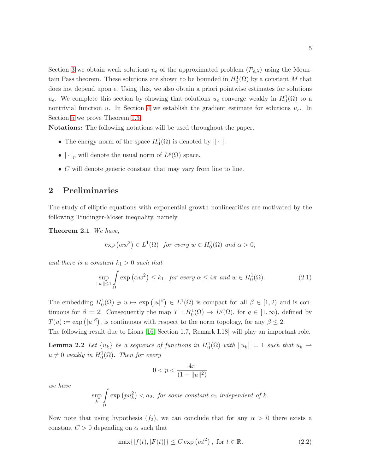Section [3](#page-7-0) we obtain weak solutions  $u_{\epsilon}$  of the approximated problem  $(\mathcal{P}_{\epsilon,\lambda})$  using the Mountain Pass theorem. These solutions are shown to be bounded in  $H_0^1(\Omega)$  by a constant M that does not depend upon  $\epsilon$ . Using this, we also obtain a priori pointwise estimates for solutions  $u_{\epsilon}$ . We complete this section by showing that solutions  $u_{\epsilon}$  converge weakly in  $H_0^1(\Omega)$  to a nontrivial function u. In Section [4](#page-19-1) we establish the gradient estimate for solutions  $u_{\epsilon}$ . In Section [5](#page-22-0) we prove Theorem [1.3.](#page-1-0)

Notations: The following notations will be used throughout the paper.

- The energy norm of the space  $H_0^1(\Omega)$  is denoted by  $\|\cdot\|$ .
- $|\cdot|_p$  will denote the usual norm of  $L^p(\Omega)$  space.
- <span id="page-4-0"></span>• C will denote generic constant that may vary from line to line.

### 2 Preliminaries

<span id="page-4-4"></span>The study of elliptic equations with exponential growth nonlinearities are motivated by the following Trudinger-Moser inequality, namely

Theorem 2.1 We have,

$$
\exp(\alpha w^2) \in L^1(\Omega) \text{ for every } w \in H_0^1(\Omega) \text{ and } \alpha > 0,
$$

and there is a constant  $k_1 > 0$  such that

<span id="page-4-2"></span>
$$
\sup_{\|w\| \le 1} \int_{\Omega} \exp(\alpha w^2) \le k_1, \text{ for every } \alpha \le 4\pi \text{ and } w \in H_0^1(\Omega). \tag{2.1}
$$

The embedding  $H_0^1(\Omega) \ni u \mapsto \exp(|u|^{\beta}) \in L^1(\Omega)$  is compact for all  $\beta \in [1,2)$  and is continuous for  $\beta = 2$ . Consequently the map  $T : H_0^1(\Omega) \to L^q(\Omega)$ , for  $q \in [1, \infty)$ , defined by  $T(u) := \exp(|u|^{\beta})$ , is continuous with respect to the norm topology, for any  $\beta \leq 2$ .

The following result due to Lions [\[16,](#page-26-14) Section 1.7, Remark I.18] will play an important role.

**Lemma 2.2** Let  $\{u_k\}$  be a sequence of functions in  $H_0^1(\Omega)$  with  $||u_k|| = 1$  such that  $u_k \rightharpoonup$  $u \neq 0$  weakly in  $H_0^1(\Omega)$ . Then for every

<span id="page-4-3"></span>
$$
0 < p < \frac{4\pi}{(1 - \|u\|^2)}
$$

we have

$$
\sup_{k} \int_{\Omega} \exp(p u_k^2) < a_2, \text{ for some constant } a_2 \text{ independent of } k.
$$

Now note that using hypothesis  $(f_2)$ , we can conclude that for any  $\alpha > 0$  there exists a constant  $C > 0$  depending on  $\alpha$  such that

<span id="page-4-1"></span>
$$
\max\{|f(t), |F(t)|\} \le C \exp\left(\alpha t^2\right), \text{ for } t \in \mathbb{R}.
$$
 (2.2)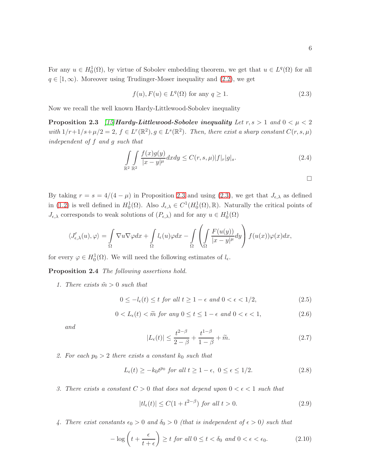For any  $u \in H_0^1(\Omega)$ , by virtue of Sobolev embedding theorem, we get that  $u \in L^q(\Omega)$  for all  $q \in [1,\infty)$ . Moreover using Trudinger-Moser inequality and  $(2.2)$ , we get

<span id="page-5-1"></span>
$$
f(u), F(u) \in L^{q}(\Omega) \text{ for any } q \ge 1.
$$
 (2.3)

Now we recall the well known Hardy-Littlewood-Sobolev inequality

**Proposition 2.3** [\[15\]](#page-26-15)Hardy-Littlewood-Sobolev inequality Let  $r, s > 1$  and  $0 < \mu < 2$ with  $1/r+1/s+\mu/2=2$ ,  $f \in L^r(\mathbb{R}^2)$ ,  $g \in L^s(\mathbb{R}^2)$ . Then, there exist a sharp constant  $C(r, s, \mu)$ independent of f and g such that

$$
\int\limits_{\mathbb{R}^2} \int\limits_{\mathbb{R}^2} \frac{f(x)g(y)}{|x-y|^{\mu}} dx dy \le C(r, s, \mu)|f|_{r}|g|_{s}.
$$
\n(2.4)

<span id="page-5-0"></span> $\Box$ 

By taking  $r = s = 4/(4 - \mu)$  in Proposition [2.3](#page-5-0) and using [\(2.3\)](#page-5-1), we get that  $J_{\epsilon,\lambda}$  as defined in [\(1.2\)](#page-2-1) is well defined in  $H_0^1(\Omega)$ . Also  $J_{\epsilon,\lambda} \in C^1(H_0^1(\Omega), \mathbb{R})$ . Naturally the critical points of  $J_{\epsilon,\lambda}$  corresponds to weak solutions of  $(P_{\epsilon,\lambda})$  and for any  $u \in H_0^1(\Omega)$ 

$$
\langle J'_{\epsilon,\lambda}(u),\varphi\rangle=\int\limits_{\Omega}\nabla u\nabla \varphi dx+\int\limits_{\Omega}l_{\epsilon}(u)\varphi dx-\int\limits_{\Omega}\left(\int\limits_{\Omega}\frac{F(u(y))}{|x-y|^{\mu}}dy\right)f(u(x))\varphi(x)dx,
$$

for every  $\varphi \in H_0^1(\Omega)$ . We will need the following estimates of  $l_{\epsilon}$ .

Proposition 2.4 The following assertions hold.

1. There exists  $\tilde{m} > 0$  such that

<span id="page-5-2"></span>
$$
0 \le -l_{\epsilon}(t) \le t \text{ for all } t \ge 1 - \epsilon \text{ and } 0 < \epsilon < 1/2,\tag{2.5}
$$

<span id="page-5-3"></span>
$$
0 < L_{\epsilon}(t) < \widetilde{m} \text{ for any } 0 \le t \le 1 - \epsilon \text{ and } 0 < \epsilon < 1,\tag{2.6}
$$

and

<span id="page-5-4"></span>
$$
|L_{\epsilon}(t)| \le \frac{t^{2-\beta}}{2-\beta} + \frac{t^{1-\beta}}{1-\beta} + \widetilde{m}.
$$
 (2.7)

2. For each  $p_0 > 2$  there exists a constant  $k_0$  such that

<span id="page-5-5"></span>
$$
L_{\epsilon}(t) \ge -k_0 t^{p_0} \text{ for all } t \ge 1 - \epsilon, \ 0 \le \epsilon \le 1/2. \tag{2.8}
$$

3. There exists a constant  $C > 0$  that does not depend upon  $0 < \epsilon < 1$  such that

<span id="page-5-6"></span>
$$
|tl_{\epsilon}(t)| \le C(1 + t^{2-\beta}) \text{ for all } t > 0. \tag{2.9}
$$

4. There exist constants  $\epsilon_0 > 0$  and  $\delta_0 > 0$  (that is independent of  $\epsilon > 0$ ) such that

<span id="page-5-7"></span>
$$
-\log\left(t+\frac{\epsilon}{t+\epsilon}\right) \ge t \text{ for all } 0 \le t < \delta_0 \text{ and } 0 < \epsilon < \epsilon_0. \tag{2.10}
$$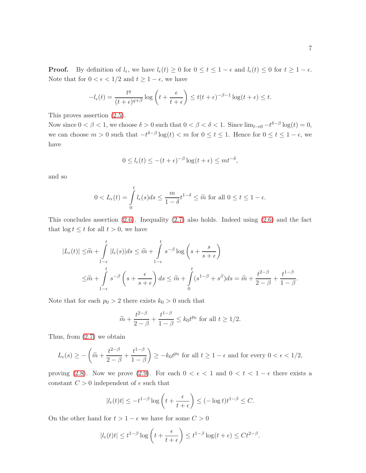**Proof.** By definition of  $l_{\epsilon}$ , we have  $l_{\epsilon}(t) \geq 0$  for  $0 \leq t \leq 1 - \epsilon$  and  $l_{\epsilon}(t) \leq 0$  for  $t \geq 1 - \epsilon$ . Note that for  $0 < \epsilon < 1/2$  and  $t \ge 1 - \epsilon$ , we have

$$
-l_{\epsilon}(t) = \frac{t^{q}}{(t+\epsilon)^{q+\beta}} \log\left(t + \frac{\epsilon}{t+\epsilon}\right) \leq t(t+\epsilon)^{-\beta-1} \log(t+\epsilon) \leq t.
$$

This proves assertion [\(2.5\)](#page-5-2).

Now since  $0 < \beta < 1$ , we choose  $\delta > 0$  such that  $0 < \beta < \delta < 1$ . Since  $\lim_{t\to 0} -t^{\delta-\beta} \log(t) = 0$ , we can choose  $m > 0$  such that  $-t^{\delta-\beta}\log(t) < m$  for  $0 \le t \le 1$ . Hence for  $0 \le t \le 1-\epsilon$ , we have

$$
0 \le l_{\epsilon}(t) \le -(t+\epsilon)^{-\beta} \log(t+\epsilon) \le mt^{-\delta},
$$

and so

$$
0 < L_{\epsilon}(t) = \int_{0}^{t} l_{\epsilon}(s)ds \le \frac{m}{1-\delta}t^{1-\delta} \le \tilde{m} \text{ for all } 0 \le t \le 1-\epsilon.
$$

This concludes assertion [\(2.6\)](#page-5-3). Inequality [\(2.7\)](#page-5-4) also holds. Indeed using [\(2.6\)](#page-5-3) and the fact that  $\log t \leq t$  for all  $t > 0$ , we have

$$
|L_{\epsilon}(t)| \leq \widetilde{m} + \int_{1-\epsilon}^{t} |l_{\epsilon}(s)| ds \leq \widetilde{m} + \int_{1-\epsilon}^{t} s^{-\beta} \log \left( s + \frac{s}{s+\epsilon} \right)
$$
  

$$
\leq \widetilde{m} + \int_{1-\epsilon}^{t} s^{-\beta} \left( s + \frac{\epsilon}{s+\epsilon} \right) ds \leq \widetilde{m} + \int_{0}^{t} (s^{1-\beta} + s^{\beta}) ds = \widetilde{m} + \frac{t^{2-\beta}}{2-\beta} + \frac{t^{1-\beta}}{1-\beta}.
$$

Note that for each  $p_0 > 2$  there exists  $k_0 > 0$  such that

$$
\widetilde{m} + \frac{t^{2-\beta}}{2-\beta} + \frac{t^{1-\beta}}{1-\beta} \le k_0 t^{p_0} \text{ for all } t \ge 1/2.
$$

Thus, from [\(2.7\)](#page-5-4) we obtain

$$
L_{\epsilon}(s) \ge -\left(\widetilde{m} + \frac{t^{2-\beta}}{2-\beta} + \frac{t^{1-\beta}}{1-\beta}\right) \ge -k_0 t^{p_0} \text{ for all } t \ge 1-\epsilon \text{ and for every } 0 < \epsilon < 1/2,
$$

proving [\(2.8\)](#page-5-5). Now we prove [\(2.9\)](#page-5-6). For each  $0 < \epsilon < 1$  and  $0 < t < 1 - \epsilon$  there exists a constant  $C > 0$  independent of  $\epsilon$  such that

$$
|l_{\epsilon}(t)t| \le -t^{1-\beta} \log \left( t + \frac{\epsilon}{t+\epsilon} \right) \le (-\log t)t^{1-\beta} \le C.
$$

On the other hand for  $t > 1 - \epsilon$  we have for some  $C > 0$ 

$$
|l_{\epsilon}(t)t| \leq t^{1-\beta} \log\left(t + \frac{\epsilon}{t+\epsilon}\right) \leq t^{1-\beta} \log(t+\epsilon) \leq Ct^{2-\beta}.
$$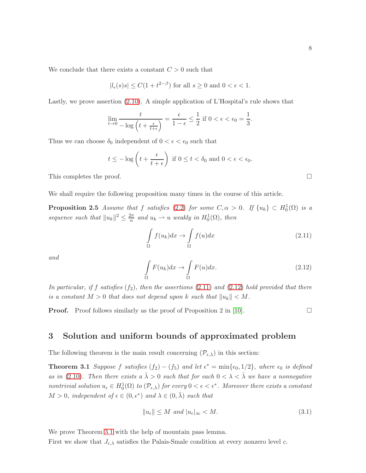We conclude that there exists a constant  $C > 0$  such that

$$
|l_{\epsilon}(s)s| \le C(1+t^{2-\beta})
$$
 for all  $s \ge 0$  and  $0 < \epsilon < 1$ .

Lastly, we prove assertion [\(2.10\)](#page-5-7). A simple application of L'Hospital's rule shows that

$$
\lim_{t \to 0} \frac{t}{-\log\left(t + \frac{\epsilon}{t+\epsilon}\right)} = \frac{\epsilon}{1-\epsilon} \le \frac{1}{2} \text{ if } 0 < \epsilon < \epsilon_0 = \frac{1}{3}.
$$

Thus we can choose  $\delta_0$  independent of  $0 < \epsilon < \epsilon_0$  such that

$$
t \le -\log\left(t + \frac{\epsilon}{t+\epsilon}\right)
$$
 if  $0 \le t < \delta_0$  and  $0 < \epsilon < \epsilon_0$ .

This completes the proof.  $\Box$ 

We shall require the following proposition many times in the course of this article.

**Proposition 2.5** Assume that f satisfies [\(2.2\)](#page-4-1) for some  $C, \alpha > 0$ . If  $\{u_k\} \subset H_0^1(\Omega)$  is a sequence such that  $||u_k||^2 \leq \frac{2\pi}{\alpha}$  $\frac{2\pi}{\alpha}$  and  $u_k \rightharpoonup u$  weakly in  $H_0^1(\Omega)$ , then

<span id="page-7-1"></span>
$$
\int_{\Omega} f(u_k)dx \to \int_{\Omega} f(u)dx \tag{2.11}
$$

and

<span id="page-7-2"></span>
$$
\int_{\Omega} F(u_k) dx \to \int_{\Omega} F(u) dx.
$$
\n(2.12)

In particular, if f satisfies  $(f_2)$ , then the assertions [\(2.11\)](#page-7-1) and [\(2.12\)](#page-7-2) hold provided that there is a constant  $M > 0$  that does not depend upon k such that  $||u_k|| < M$ .

<span id="page-7-0"></span>**Proof.** Proof follows similarly as the proof of Proposition 2 in [\[10\]](#page-26-0).

<span id="page-7-5"></span><span id="page-7-4"></span><span id="page-7-3"></span>

#### 3 Solution and uniform bounds of approximated problem

The following theorem is the main result concerning  $(\mathcal{P}_{\epsilon,\lambda})$  in this section:

**Theorem 3.1** Suppose f satisfies  $(f_2) - (f_5)$  and let  $\epsilon^* = \min{\epsilon_0, 1/2}$ , where  $\epsilon_0$  is defined as in [\(2.10\)](#page-5-7). Then there exists a  $\bar{\lambda} > 0$  such that for each  $0 < \lambda < \bar{\lambda}$  we have a nonnegative nontrivial solution  $u_{\epsilon} \in H_0^1(\Omega)$  to  $(\mathcal{P}_{\epsilon,\lambda})$  for every  $0 < \epsilon < \epsilon^*$ . Moreover there exists a constant  $M > 0$ , independent of  $\epsilon \in (0, \epsilon^*)$  and  $\lambda \in (0, \bar{\lambda})$  such that

$$
||u_{\epsilon}|| \le M \text{ and } |u_{\epsilon}|_{\infty} < M. \tag{3.1}
$$

We prove Theorem [3.1](#page-7-3) with the help of mountain pass lemma.

First we show that  $J_{\epsilon,\lambda}$  satisfies the Palais-Smale condition at every nonzero level c.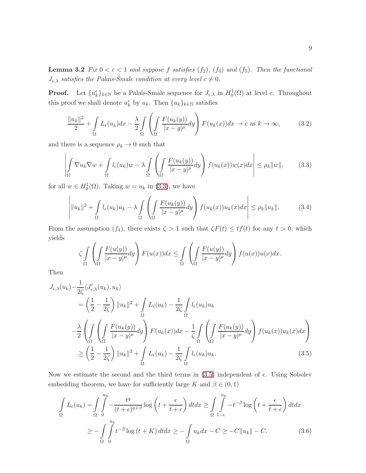**Lemma 3.2** Fix  $0 < \epsilon < 1$  and suppose f satisfies  $(f_2)$ ,  $(f_4)$  and  $(f_5)$ . Then the functional  $J_{\epsilon,\lambda}$  satisfies the Palais-Smale condition at every level  $c \neq 0$ .

**Proof.** Let  $\{u_k^{\epsilon}\}_{k\in\mathbb{N}}$  be a Palais-Smale sequence for  $J_{\epsilon,\lambda}$  in  $H_0^1(\Omega)$  at level c. Throughout this proof we shall denote  $u_k^{\epsilon}$  by  $u_k$ . Then  $\{u_k\}_{k\in\mathbb{N}}$  satisfies

<span id="page-8-3"></span>
$$
\frac{\|u_k\|^2}{2} + \int\limits_{\Omega} L_{\epsilon}(u_k)dx - \frac{\lambda}{2} \int\limits_{\Omega} \left( \int\limits_{\Omega} \frac{F(u_k(y))}{|x-y|^{\mu}} dy \right) F(u_k(x))dx \to c \text{ as } k \to \infty,
$$
 (3.2)

and there is a sequence  $\rho_k \to 0$  such that

<span id="page-8-0"></span>
$$
\left| \int_{\Omega} \nabla u_k \nabla w + \int_{\Omega} l_{\epsilon}(u_k) w - \lambda \int_{\Omega} \left( \int_{\Omega} \frac{F(u_k(y))}{|x - y|^{\mu}} dy \right) f(u_k(x)) w(x) dx \right| \le \rho_k \|w\|, \tag{3.3}
$$

for all  $w \in H_0^1(\Omega)$ . Taking  $w = u_k$  in [\(3.3\)](#page-8-0), we have

<span id="page-8-4"></span>
$$
\left| \|u_k\|^2 + \int_{\Omega} l_{\epsilon}(u_k)u_k - \lambda \int_{\Omega} \left( \int_{\Omega} \frac{F(u_k(y))}{|x-y|^{\mu}} dy \right) f(u_k(x))u_k(x) dx \right| \le \rho_k \|u_k\|. \tag{3.4}
$$

From the assumption  $(f_4)$ , there exists  $\zeta > 1$  such that  $\zeta F(t) \leq tf(t)$  for any  $t > 0$ , which yields

<span id="page-8-1"></span>
$$
\zeta \int_{\Omega} \left( \int_{\Omega} \frac{F(u(y))}{|x-y|^{\mu}} dy \right) F(u(x)) dx \le \int_{\Omega} \left( \int_{\Omega} \frac{F(u(y))}{|x-y|^{\mu}} dy \right) f(u(x)) u(x) dx.
$$

Then

$$
J_{\epsilon,\lambda}(u_k) - \frac{1}{2\zeta} \langle J'_{\epsilon,\lambda}(u_k), u_k \rangle
$$
  
\n
$$
= \left(\frac{1}{2} - \frac{1}{2\zeta}\right) ||u_k||^2 + \int_{\Omega} L_{\epsilon}(u_k) - \frac{1}{2\zeta} \int_{\Omega} l_{\epsilon}(u_k)u_k
$$
  
\n
$$
- \frac{\lambda}{2} \left( \int_{\Omega} \left( \int_{\Omega} \frac{F(u_k(y))}{|x-y|^{\mu}} dy \right) F(u_k(x)) dx - \frac{1}{\zeta} \int_{\Omega} \left( \int_{\Omega} \frac{F(u_k(y))}{|x-y|^{\mu}} dy \right) f(u_k(x))u_k(x) dx \right)
$$
  
\n
$$
\geq \left(\frac{1}{2} - \frac{1}{2\zeta}\right) ||u_k||^2 + \int_{\Omega} L_{\epsilon}(u_k) - \frac{1}{2\zeta} \int_{\Omega} l_{\epsilon}(u_k)u_k.
$$
\n(3.5)

Now we estimate the second and the third terms in  $(3.5)$  independent of  $\epsilon$ . Using Sobolev embedding theorem, we have for sufficiently large K and  $\beta \in (0,1)$ 

<span id="page-8-2"></span>
$$
\int_{\Omega} L_{\epsilon}(u_{k}) = \int_{\Omega} \int_{0}^{u_{k}} -\frac{t^{q}}{(t+\epsilon)^{q+\beta}} \log\left(t + \frac{\epsilon}{t+\epsilon}\right) dt dx \ge \int_{\Omega} \int_{1-\epsilon}^{u_{k}} -t^{-\beta} \log\left(t + \frac{\epsilon}{t+\epsilon}\right) dt dx
$$
\n
$$
\ge -\int_{\Omega} \int_{0}^{u_{k}} t^{-\beta} \log\left(t + K\right) dt dx \ge -\int_{\Omega} u_{k} dx - C \ge -C \|u_{k}\| - C. \tag{3.6}
$$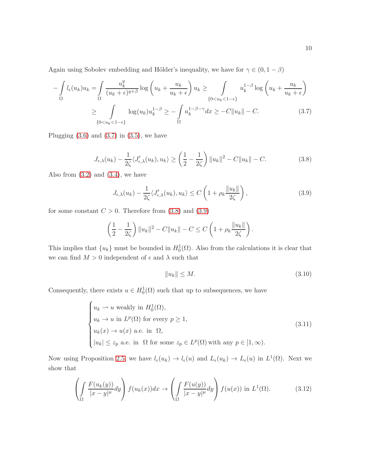Again using Sobolev embedding and Hölder's inequality, we have for  $\gamma \in (0, 1 - \beta)$ 

$$
-\int_{\Omega} l_{\epsilon}(u_k)u_k = \int_{\Omega} \frac{u_k^q}{(u_k + \epsilon)^{q+\beta}} \log \left(u_k + \frac{u_k}{u_k + \epsilon}\right) u_k \ge \int_{\{0 < u_k < 1 - \epsilon\}} u_k^{1-\beta} \log \left(u_k + \frac{u_k}{u_k + \epsilon}\right)
$$
\n
$$
\ge \int_{\{0 < u_k < 1 - \epsilon\}} \log (u_k) u_k^{1-\beta} \ge -\int_{\Omega} u_k^{1-\beta-\gamma} dx \ge -C \|u_k\| - C. \tag{3.7}
$$

Plugging  $(3.6)$  and  $(3.7)$  in  $(3.5)$ , we have

<span id="page-9-1"></span>
$$
J_{\epsilon,\lambda}(u_k) - \frac{1}{2\zeta} \langle J'_{\epsilon,\lambda}(u_k), u_k \rangle \ge \left(\frac{1}{2} - \frac{1}{2\zeta}\right) \|u_k\|^2 - C\|u_k\| - C. \tag{3.8}
$$

Also from  $(3.2)$  and  $(3.4)$ , we have

<span id="page-9-2"></span><span id="page-9-0"></span>
$$
J_{\epsilon,\lambda}(u_k) - \frac{1}{2\zeta} \langle J'_{\epsilon,\lambda}(u_k), u_k \rangle \le C \left( 1 + \rho_k \frac{\|u_k\|}{2\zeta} \right),\tag{3.9}
$$

for some constant  $C > 0$ . Therefore from  $(3.8)$  and  $(3.9)$ 

$$
\left(\frac{1}{2} - \frac{1}{2\zeta}\right) \|u_k\|^2 - C\|u_k\| - C \le C\left(1 + \rho_k \frac{\|u_k\|}{2\zeta}\right).
$$

This implies that  $\{u_k\}$  must be bounded in  $H_0^1(\Omega)$ . Also from the calculations it is clear that we can find  $M > 0$  independent of  $\epsilon$  and  $\lambda$  such that

<span id="page-9-5"></span><span id="page-9-3"></span>
$$
||u_k|| \le M. \tag{3.10}
$$

Consequently, there exists  $u \in H_0^1(\Omega)$  such that up to subsequences, we have

$$
\begin{cases}\n u_k \rightharpoonup u \text{ weakly in } H_0^1(\Omega), \\
u_k \rightharpoonup u \text{ in } L^p(\Omega) \text{ for every } p \ge 1, \\
u_k(x) \rightharpoonup u(x) \text{ a.e. in } \Omega, \\
|u_k| \le z_p \text{ a.e. in } \Omega \text{ for some } z_p \in L^p(\Omega) \text{ with any } p \in [1, \infty).\n\end{cases}
$$
\n(3.11)

Now using Proposition [2.5,](#page-7-4) we have  $l_{\epsilon}(u_k) \to l_{\epsilon}(u)$  and  $L_{\epsilon}(u_k) \to L_{\epsilon}(u)$  in  $L^1(\Omega)$ . Next we show that

<span id="page-9-4"></span>
$$
\left(\int_{\Omega} \frac{F(u_k(y))}{|x-y|^{\mu}} dy\right) f(u_k(x)) dx \to \left(\int_{\Omega} \frac{F(u(y))}{|x-y|^{\mu}} dy\right) f(u(x)) \text{ in } L^1(\Omega). \tag{3.12}
$$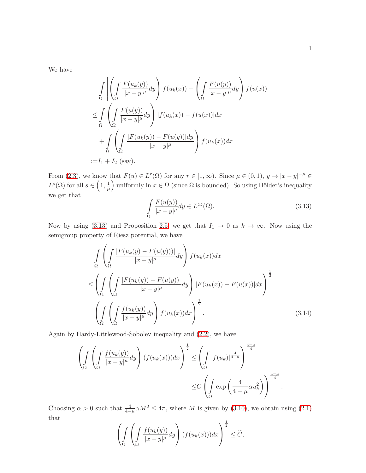We have

$$
\int_{\Omega} \left| \left( \int_{\Omega} \frac{F(u_k(y))}{|x - y|^{\mu}} dy \right) f(u_k(x)) - \left( \int_{\Omega} \frac{F(u(y))}{|x - y|^{\mu}} dy \right) f(u(x)) \right|
$$
  
\n
$$
\leq \int_{\Omega} \left( \int_{\Omega} \frac{F(u(y))}{|x - y|^{\mu}} dy \right) |f(u_k(x)) - f(u(x))| dx
$$
  
\n
$$
+ \int_{\Omega} \left( \int_{\Omega} \frac{|F(u_k(y)) - F(u(y))| dy}{|x - y|^{\mu}} \right) f(u_k(x)) dx
$$
  
\n:= I<sub>1</sub> + I<sub>2</sub> (say).

From [\(2.3\)](#page-5-1), we know that  $F(u) \in L^r(\Omega)$  for any  $r \in [1,\infty)$ . Since  $\mu \in (0,1)$ ,  $y \mapsto |x-y|^{-\mu} \in$  $L^{s}(\Omega)$  for all  $s \in \left(1, \frac{1}{\mu}\right)$  $\mu$ uniformly in  $x \in \Omega$  (since  $\Omega$  is bounded). So using Hölder's inequality we get that

<span id="page-10-0"></span>
$$
\int_{\Omega} \frac{F(u(y))}{|x - y|^{\mu}} dy \in L^{\infty}(\Omega).
$$
\n(3.13)

Now by using [\(3.13\)](#page-10-0) and Proposition [2.5,](#page-7-4) we get that  $I_1 \rightarrow 0$  as  $k \rightarrow \infty$ . Now using the semigroup property of Riesz potential, we have

$$
\int_{\Omega} \left( \int_{\Omega} \frac{|F(u_k(y) - F(u(y)))|}{|x - y|^{\mu}} dy \right) f(u_k(x)) dx
$$
\n
$$
\leq \left( \int_{\Omega} \left( \int_{\Omega} \frac{|F(u_k(y)) - F(u(y))|}{|x - y|^{\mu}} dy \right) |F(u_k(x)) - F(u(x))| dx \right)^{\frac{1}{2}}
$$
\n
$$
\left( \int_{\Omega} \left( \int_{\Omega} \frac{f(u_k(y))}{|x - y|^{\mu}} dy \right) f(u_k(x)) dx \right)^{\frac{1}{2}}.
$$
\n(3.14)

Again by Hardy-Littlewood-Sobolev inequality and [\(2.2\)](#page-4-1), we have

$$
\left(\int_{\Omega} \left( \int_{\Omega} \frac{f(u_k(y))}{|x-y|^{\mu}} dy \right) (f(u_k(x))) dx \right)^{\frac{1}{2}} \leq \left( \int_{\Omega} |f(u_k)|^{\frac{4}{4-\mu}} \right)^{\frac{4-\mu}{4}}
$$

$$
\leq C \left( \int_{\Omega} \exp\left(\frac{4}{4-\mu} \alpha u_k^2\right) \right)^{\frac{4-\mu}{4}}.
$$

Choosing  $\alpha > 0$  such that  $\frac{4}{4-\mu} \alpha M^2 \leq 4\pi$ , where M is given by [\(3.10\)](#page-9-3), we obtain using [\(2.1\)](#page-4-2) that

$$
\left(\int_{\Omega} \left( \int_{\Omega} \frac{f(u_k(y))}{|x-y|^{\mu}} dy \right) (f(u_k(x))) dx \right)^{\frac{1}{2}} \leq \widetilde{C},
$$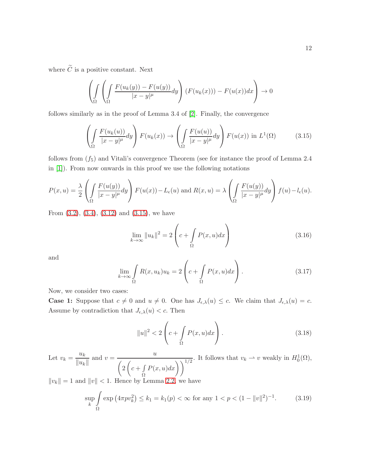where  $\widetilde{C}$  is a positive constant. Next

$$
\left(\int_{\Omega} \left( \int_{\Omega} \frac{F(u_k(y)) - F(u(y))}{|x - y|^{\mu}} dy \right) (F(u_k(x))) - F(u(x)) dx \right) \to 0
$$

follows similarly as in the proof of Lemma 3.4 of [\[2\]](#page-25-0). Finally, the convergence

<span id="page-11-0"></span>
$$
\left(\int_{\Omega} \frac{F(u_k(u))}{|x-y|^{\mu}} dy\right) F(u_k(x)) \to \left(\int_{\Omega} \frac{F(u(u))}{|x-y|^{\mu}} dy\right) F(u(x)) \text{ in } L^1(\Omega) \tag{3.15}
$$

follows from  $(f_5)$  and Vitali's convergence Theorem (see for instance the proof of Lemma 2.4 in [\[1\]](#page-25-3)). From now onwards in this proof we use the following notations

$$
P(x, u) = \frac{\lambda}{2} \left( \int_{\Omega} \frac{F(u(y))}{|x - y|^{\mu}} dy \right) F(u(x)) - L_{\epsilon}(u) \text{ and } R(x, u) = \lambda \left( \int_{\Omega} \frac{F(u(y))}{|x - y|^{\mu}} dy \right) f(u) - l_{\epsilon}(u).
$$

From [\(3.2\)](#page-8-3), [\(3.4\)](#page-8-4), [\(3.12\)](#page-9-4) and [\(3.15\)](#page-11-0), we have

<span id="page-11-4"></span>
$$
\lim_{k \to \infty} ||u_k||^2 = 2\left(c + \int_{\Omega} P(x, u) dx\right)
$$
\n(3.16)

and

<span id="page-11-2"></span>
$$
\lim_{k \to \infty} \int_{\Omega} R(x, u_k) u_k = 2 \left( c + \int_{\Omega} P(x, u) dx \right). \tag{3.17}
$$

Now, we consider two cases:

**Case 1:** Suppose that  $c \neq 0$  and  $u \neq 0$ . One has  $J_{\epsilon,\lambda}(u) \leq c$ . We claim that  $J_{\epsilon,\lambda}(u) = c$ . Assume by contradiction that  $J_{\epsilon,\lambda}(u) < c$ . Then

<span id="page-11-3"></span>
$$
||u||^2 < 2\left(c + \int\limits_{\Omega} P(x, u) dx\right). \tag{3.18}
$$

Let  $v_k = \frac{u_k}{\|u_k\|}$  $\frac{u_k}{\|u_k\|}$  and  $v = \frac{u_k}{\sqrt{2\pi}}$  $\sqrt{ }$ 2  $\sqrt{ }$  $c + \int$ Ω  $P(x, u)dx\bigg)\bigg)^{1/2}$ . It follows that  $v_k \rightharpoonup v$  weakly in  $H_0^1(\Omega)$ ,  $||v_k|| = 1$  and  $||v|| < 1$ . Hence by Lemma [2.2,](#page-4-3) we have

<span id="page-11-1"></span>
$$
\sup_{k} \int_{\Omega} \exp\left(4\pi p v_k^2\right) \le k_1 = k_1(p) < \infty \text{ for any } 1 < p < (1 - \|v\|^2)^{-1}.\tag{3.19}
$$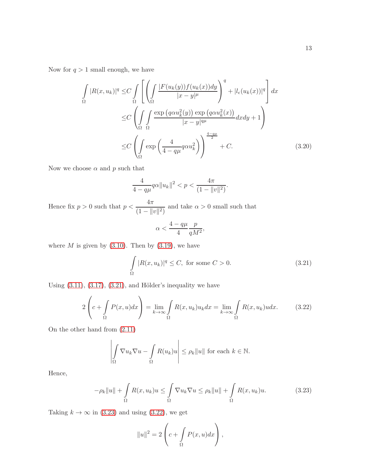Now for  $q > 1$  small enough, we have

$$
\int_{\Omega} |R(x, u_k)|^q \leq C \int_{\Omega} \left[ \left( \int_{\Omega} \frac{|F(u_k(y))f(u_k(x))dy}{|x - y|^{\mu}} \right)^q + |l_{\epsilon}(u_k(x))|^q \right] dx
$$
  
\n
$$
\leq C \left( \int_{\Omega} \int_{\Omega} \frac{\exp (q\alpha u_k^2(y)) \exp (q\alpha u_k^2(x))}{|x - y|^{q\mu}} dx dy + 1 \right)
$$
  
\n
$$
\leq C \left( \int_{\Omega} \exp \left( \frac{4}{4 - q\mu} q\alpha u_k^2 \right) \right)^{\frac{4 - q\mu}{2}} + C.
$$
 (3.20)

Now we choose  $\alpha$  and  $p$  such that

$$
\frac{4}{4-q\mu}q\alpha\|u_k\|^2 < p < \frac{4\pi}{(1-\|v\|^2)}.
$$

Hence fix  $p > 0$  such that  $p < \frac{4\pi}{4}$  $\frac{1}{(1 - ||v||^2)}$  and take  $\alpha > 0$  small such that

<span id="page-12-3"></span><span id="page-12-2"></span>
$$
\alpha<\frac{4-q\mu}{4}\frac{p}{qM^2},
$$

where  $M$  is given by  $(3.10)$ . Then by  $(3.19)$ , we have

<span id="page-12-0"></span>
$$
\int_{\Omega} |R(x, u_k)|^q \le C, \text{ for some } C > 0.
$$
\n(3.21)

Using  $(3.11)$ ,  $(3.17)$ ,  $(3.21)$ , and Hölder's inequality we have

$$
2\left(c+\int_{\Omega} P(x,u)dx\right) = \lim_{k\to\infty} \int_{\Omega} R(x,u_k)u_kdx = \lim_{k\to\infty} \int_{\Omega} R(x,u_k)u dx. \tag{3.22}
$$

On the other hand from [\(2.11\)](#page-7-1)

$$
\left| \int_{\Omega} \nabla u_k \nabla u - \int_{\Omega} R(u_k) u \right| \leq \rho_k ||u|| \text{ for each } k \in \mathbb{N}.
$$

Hence,

$$
-\rho_k \|u\| + \int_{\Omega} R(x, u_k)u \leq \int_{\Omega} \nabla u_k \nabla u \leq \rho_k \|u\| + \int_{\Omega} R(x, u_k)u. \tag{3.23}
$$

Taking  $k \to \infty$  in [\(3.23\)](#page-12-1) and using [\(3.22\)](#page-12-2), we get

<span id="page-12-1"></span>
$$
||u||^2 = 2\left(c + \int_{\Omega} P(x, u) dx\right),
$$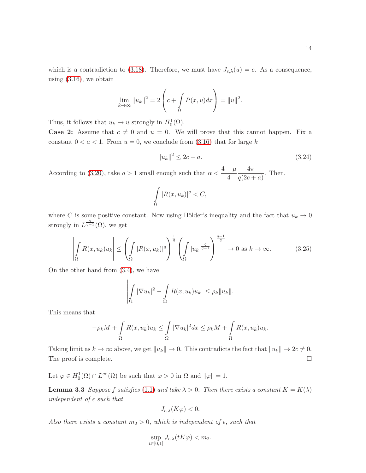which is a contradiction to [\(3.18\)](#page-11-3). Therefore, we must have  $J_{\epsilon,\lambda}(u) = c$ . As a consequence, using  $(3.16)$ , we obtain

$$
\lim_{k \to \infty} ||u_k||^2 = 2\left(c + \int_{\Omega} P(x, u) dx\right) = ||u||^2.
$$

Thus, it follows that  $u_k \to u$  strongly in  $H_0^1(\Omega)$ .

**Case 2:** Assume that  $c \neq 0$  and  $u = 0$ . We will prove that this cannot happen. Fix a constant  $0 < a < 1$ . From  $u = 0$ , we conclude from  $(3.16)$  that for large k

$$
||u_k||^2 \le 2c + a. \tag{3.24}
$$

According to [\(3.20\)](#page-12-3), take  $q > 1$  small enough such that  $\alpha < \frac{4 - \mu}{4}$ 4  $4\pi$  $\frac{m}{q(2c+a)}$ . Then,

$$
\int_{\Omega} |R(x, u_k)|^q < C,
$$

where C is some positive constant. Now using Hölder's inequality and the fact that  $u_k \to 0$ strongly in  $L^{\frac{q}{q-1}}(\Omega)$ , we get

$$
\left| \int_{\Omega} R(x, u_k) u_k \right| \leq \left( \int_{\Omega} |R(x, u_k)|^q \right)^{\frac{1}{q}} \left( \int_{\Omega} |u_k|^{\frac{q}{q-1}} \right)^{\frac{q-1}{q}} \to 0 \text{ as } k \to \infty. \tag{3.25}
$$

On the other hand from [\(3.4\)](#page-8-4), we have

$$
\left| \int_{\Omega} |\nabla u_k|^2 - \int_{\Omega} R(x, u_k) u_k \right| \leq \rho_k ||u_k||.
$$

This means that

$$
-\rho_k M + \int\limits_{\Omega} R(x, u_k) u_k \leq \int\limits_{\Omega} |\nabla u_k|^2 dx \leq \rho_k M + \int\limits_{\Omega} R(x, u_k) u_k.
$$

Taking limit as  $k \to \infty$  above, we get  $||u_k|| \to 0$ . This contradicts the fact that  $||u_k|| \to 2c \neq 0$ . The proof is complete.  $\Box$ 

<span id="page-13-0"></span>Let  $\varphi \in H_0^1(\Omega) \cap L^\infty(\Omega)$  be such that  $\varphi > 0$  in  $\Omega$  and  $\|\varphi\| = 1$ .

**Lemma 3.3** Suppose f satisfies [\(1.1\)](#page-1-1) and take  $\lambda > 0$ . Then there exists a constant  $K = K(\lambda)$ independent of  $\epsilon$  such that

$$
J_{\epsilon,\lambda}(K\varphi) < 0.
$$

Also there exists a constant  $m_2 > 0$ , which is independent of  $\epsilon$ , such that

$$
\sup_{t\in[0,1]}J_{\epsilon,\lambda}(tK\varphi)
$$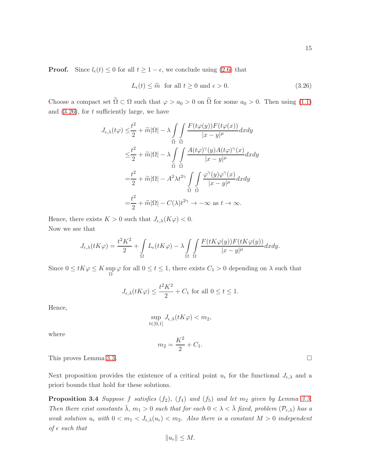<span id="page-14-0"></span>
$$
L_{\epsilon}(t) \le \tilde{m} \quad \text{for all } t \ge 0 \text{ and } \epsilon > 0. \tag{3.26}
$$

Choose a compact set  $\tilde{\Omega} \subset \Omega$  such that  $\varphi > a_0 > 0$  on  $\tilde{\Omega}$  for some  $a_0 > 0$ . Then using [\(1.1\)](#page-1-1) and  $(3.26)$ , for t sufficiently large, we have

$$
J_{\epsilon,\lambda}(t\varphi) \leq \frac{t^2}{2} + \widetilde{m}|\Omega| - \lambda \int_{\widetilde{\Omega}} \int_{\widetilde{\Omega}} \frac{F(t\varphi(y))F(t\varphi(x))}{|x - y|^{\mu}} dx dy
$$
  

$$
\leq \frac{t^2}{2} + \widetilde{m}|\Omega| - \lambda \int_{\widetilde{\Omega}} \int_{\widetilde{\Omega}} \frac{A(t\varphi)^{\gamma}(y)A(t\varphi)^{\gamma}(x)}{|x - y|^{\mu}} dx dy
$$
  

$$
= \frac{t^2}{2} + \widetilde{m}|\Omega| - A^2 \lambda t^{2\gamma} \int_{\widetilde{\Omega}} \int_{\widetilde{\Omega}} \frac{\varphi^{\gamma}(y)\varphi^{\gamma}(x)}{|x - y|^{\mu}} dx dy
$$
  

$$
= \frac{t^2}{2} + \widetilde{m}|\Omega| - C(\lambda)t^{2\gamma} \to -\infty \text{ as } t \to \infty.
$$

Hence, there exists  $K > 0$  such that  $J_{\epsilon,\lambda}(K\varphi) < 0$ . Now we see that

$$
J_{\epsilon,\lambda}(tK\varphi) = \frac{t^2K^2}{2} + \int_{\Omega} L_{\epsilon}(tK\varphi) - \lambda \int_{\Omega} \int_{\Omega} \frac{F(tK\varphi(y))F(tK\varphi(y))}{|x-y|^{\mu}} dx dy.
$$

Since  $0 \leq tK\varphi \leq K$  sup up  $\varphi$  for all  $0 \le t \le 1$ , there exists  $C_1 > 0$  depending on  $\lambda$  such that

$$
J_{\epsilon,\lambda}(tK\varphi) \le \frac{t^2K^2}{2} + C_1 \text{ for all } 0 \le t \le 1.
$$

Hence,

$$
\sup_{t\in[0,1]}J_{\epsilon,\lambda}(tK\varphi)
$$

where

<span id="page-14-1"></span>
$$
m_2 = \frac{K^2}{2} + C_1.
$$

This proves Lemma [3.3.](#page-13-0)

Next proposition provides the existence of a critical point  $u_{\epsilon}$  for the functional  $J_{\epsilon,\lambda}$  and a priori bounds that hold for these solutions.

**Proposition 3.4** Suppose f satisfies  $(f_2)$ ,  $(f_4)$  and  $(f_5)$  and let  $m_2$  given by Lemma [3.3.](#page-13-0) Then there exist constants  $\bar{\lambda}$ ,  $m_1 > 0$  such that for each  $0 < \lambda < \bar{\lambda}$  fixed, problem  $(\mathcal{P}_{\epsilon,\lambda})$  has a weak solution  $u_{\epsilon}$  with  $0 < m_1 < J_{\epsilon,\lambda}(u_{\epsilon}) < m_2$ . Also there is a constant  $M > 0$  independent of  $\epsilon$  such that

$$
||u_{\epsilon}|| \leq M.
$$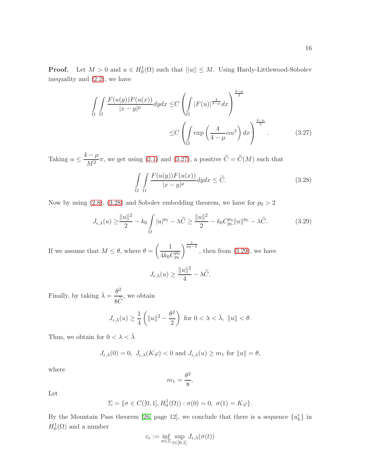**Proof.** Let  $M > 0$  and  $u \in H_0^1(\Omega)$  such that  $||u|| \leq M$ . Using Hardy-Littlewood-Sobolev inequality and [\(2.2\)](#page-4-1), we have

$$
\iint_{\Omega} \frac{F(u(y))F(u(x))}{|x-y|^{\mu}} dy dx \leq C \left( \int_{\Omega} |F(u)|^{\frac{4}{4-\mu}} dx \right)^{\frac{4-\mu}{2}} \leq C \left( \int_{\Omega} \exp\left(\frac{4}{4-\mu} \alpha u^2\right) dx \right)^{\frac{4-\mu}{2}}.
$$
\n(3.27)

Taking  $\alpha \leq \frac{4-\mu}{M^2}$  $\frac{1}{M^2}\pi$ , we get using [\(2.1\)](#page-4-2) and [\(3.27\)](#page-15-0), a positive  $C=C(M)$  such that

<span id="page-15-1"></span><span id="page-15-0"></span>
$$
\int_{\Omega} \int_{\Omega} \frac{F(u(y))F(u(x))}{|x-y|^{\mu}} dy dx \le \tilde{C}.
$$
\n(3.28)

Now by using [\(2.8\)](#page-5-5), [\(3.28\)](#page-15-1) and Sobolev embedding theorem, we have for  $p_0 > 2$ 

$$
J_{\epsilon,\lambda}(u) \ge \frac{\|u\|^2}{2} - k_0 \int_{\Omega} |u|^{p_0} - \lambda \widetilde{C} \ge \frac{\|u\|^2}{2} - k_0 C_{p_0}^{p_0} \|u\|^{p_0} - \lambda \widetilde{C}.
$$
 (3.29)

If we assume that  $M \leq \theta$ , where  $\theta =$  $\begin{pmatrix} 1 \end{pmatrix}$  $4k_0C_{p_0}^{p_0}$  $\int_{0}^{\frac{1}{p_0-2}}$ , then from [\(3.29\)](#page-15-2), we have

<span id="page-15-2"></span>
$$
J_{\epsilon,\lambda}(u) \ge \frac{\|u\|^2}{4} - \lambda \widetilde{C}.
$$

Finally, by taking  $\bar{\lambda} = \frac{\theta^2}{\sqrt{2}}$  $8C$ , we obtain

$$
J_{\epsilon,\lambda}(u) \ge \frac{1}{4} \left( \|u\|^2 - \frac{\theta^2}{2} \right) \text{ for } 0 < \lambda < \bar{\lambda}, \|u\| < \theta.
$$

Thus, we obtain for  $0<\lambda<\bar{\lambda}$ 

$$
J_{\epsilon,\lambda}(0) = 0, \ J_{\epsilon,\lambda}(K\varphi) < 0 \text{ and } J_{\epsilon,\lambda}(u) \ge m_1 \text{ for } \|u\| = \theta,
$$

where

$$
m_1 = \frac{\theta^2}{8}.
$$

Let

$$
\Sigma = \{ \sigma \in C([0,1], H_0^1(\Omega)) : \sigma(0) = 0, \ \sigma(1) = K\varphi \}.
$$

By the Mountain Pass theorem [\[26,](#page-27-5) page 12], we conclude that there is a sequence  $\{u_k^{\epsilon}\}\$  in  $H_0^1(\Omega)$  and a number

$$
c_{\epsilon} := \inf_{\sigma \in \Sigma} \sup_{t \in [0,1]} J_{\epsilon,\lambda}(\sigma(t))
$$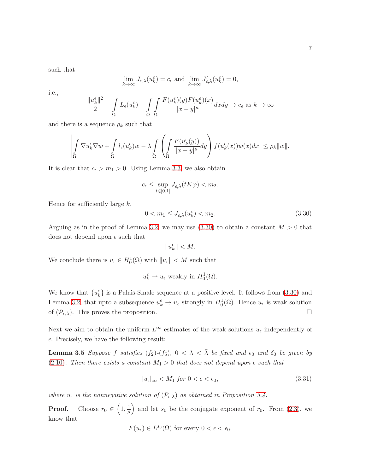such that

$$
\lim_{k \to \infty} J_{\epsilon,\lambda}(u_k^{\epsilon}) = c_{\epsilon} \text{ and } \lim_{k \to \infty} J'_{\epsilon,\lambda}(u_k^{\epsilon}) = 0,
$$

i.e.,

$$
\frac{\|u_k^{\epsilon}\|^2}{2} + \int\limits_{\Omega} L_{\epsilon}(u_k^{\epsilon}) - \int\limits_{\Omega} \int\limits_{\Omega} \frac{F(u_k^{\epsilon})(y)F(u_k^{\epsilon})(x)}{|x - y|^{\mu}} dx dy \to c_{\epsilon} \text{ as } k \to \infty
$$

and there is a sequence  $\rho_k$  such that

$$
\left|\int\limits_{\Omega}\nabla u_k^\epsilon\nabla w+\int\limits_{\Omega}l_\epsilon(u_k^\epsilon)w-\lambda\int\limits_{\Omega}\left(\int\limits_{\Omega}\frac{F(u_k^\epsilon(y))}{|x-y|^\mu}dy\right)f(u_k^\epsilon(x))w(x)dx\right|\leq\rho_k\|w\|.
$$

It is clear that  $c_{\epsilon} > m_1 > 0$ . Using Lemma [3.3,](#page-13-0) we also obtain

$$
c_\epsilon \leq \sup_{t \in [0,1]} J_{\epsilon,\lambda}(tK\varphi) < m_2.
$$

Hence for sufficiently large  $k$ ,

<span id="page-16-0"></span>
$$
0 < m_1 \le J_{\epsilon,\lambda}(u_k^{\epsilon}) < m_2. \tag{3.30}
$$

Arguing as in the proof of Lemma [3.2,](#page-7-5) we may use  $(3.30)$  to obtain a constant  $M > 0$  that does not depend upon  $\epsilon$  such that

$$
\|u_k^\epsilon\|
$$

We conclude there is  $u_{\epsilon} \in H_0^1(\Omega)$  with  $||u_{\epsilon}|| < M$  such that

$$
u_k^{\epsilon} \rightharpoonup u_{\epsilon}
$$
 weakly in  $H_0^1(\Omega)$ .

We know that  $\{u_k^{\epsilon}\}\$ is a Palais-Smale sequence at a positive level. It follows from [\(3.30\)](#page-16-0) and Lemma [3.2,](#page-7-5) that upto a subsequence  $u_k^{\epsilon} \to u_{\epsilon}$  strongly in  $H_0^1(\Omega)$ . Hence  $u_{\epsilon}$  is weak solution of  $(\mathcal{P}_{\epsilon,\lambda})$ . This proves the proposition.

Next we aim to obtain the uniform  $L^{\infty}$  estimates of the weak solutions  $u_{\epsilon}$  independently of  $\epsilon$ . Precisely, we have the following result:

**Lemma 3.5** Suppose f satisfies  $(f_2)-(f_5)$ ,  $0 < \lambda < \overline{\lambda}$  be fixed and  $\epsilon_0$  and  $\delta_0$  be given by [\(2.10\)](#page-5-7). Then there exists a constant  $M_1 > 0$  that does not depend upon  $\epsilon$  such that

<span id="page-16-2"></span><span id="page-16-1"></span>
$$
|u_{\epsilon}|_{\infty} < M_1 \text{ for } 0 < \epsilon < \epsilon_0,\tag{3.31}
$$

where  $u_{\epsilon}$  is the nonnegative solution of  $(\mathcal{P}_{\epsilon,\lambda})$  as obtained in Proposition [3.4.](#page-14-1)

**Proof.** Choose  $r_0 \in \left(1, \frac{1}{u}\right)$  $\mu$ ) and let  $s_0$  be the conjugate exponent of  $r_0$ . From [\(2.3\)](#page-5-1), we know that

$$
F(u_{\epsilon}) \in L^{s_0}(\Omega) \text{ for every } 0 < \epsilon < \epsilon_0.
$$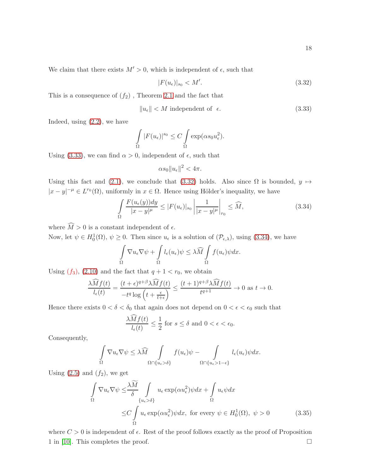We claim that there exists  $M' > 0$ , which is independent of  $\epsilon$ , such that

<span id="page-17-1"></span>
$$
|F(u_{\epsilon})|_{s_0} < M'.\tag{3.32}
$$

This is a consequence of  $(f_2)$ , Theorem [2.1](#page-4-4) and the fact that

<span id="page-17-0"></span>
$$
||u_{\epsilon}|| < M \text{ independent of } \epsilon. \tag{3.33}
$$

Indeed, using [\(2.2\)](#page-4-1), we have

$$
\int_{\Omega} |F(u_{\epsilon})|^{s_0} \leq C \int_{\Omega} \exp(\alpha s_0 u_{\epsilon}^2).
$$

Using [\(3.33\)](#page-17-0), we can find  $\alpha > 0$ , independent of  $\epsilon$ , such that

$$
\alpha s_0 \|u_{\epsilon}\|^2 < 4\pi.
$$

Using this fact and [\(2.1\)](#page-4-2), we conclude that [\(3.32\)](#page-17-1) holds. Also since  $\Omega$  is bounded,  $y \mapsto$  $|x-y|^{-\mu} \in L^{r_0}(\Omega)$ , uniformly in  $x \in \Omega$ . Hence using Hölder's inequality, we have

<span id="page-17-2"></span>
$$
\int_{\Omega} \frac{F(u_{\epsilon}(y))dy}{|x-y|^{\mu}} \le |F(u_{\epsilon})|_{s_0} \left| \frac{1}{|x-y|^{\mu}} \right|_{r_0} \le \widehat{M},\tag{3.34}
$$

where  $\widehat{M} > 0$  is a constant independent of  $\epsilon$ .

Now, let  $\psi \in H_0^1(\Omega)$ ,  $\psi \geq 0$ . Then since  $u_{\epsilon}$  is a solution of  $(\mathcal{P}_{\epsilon,\lambda})$ , using  $(3.34)$ , we have

$$
\int_{\Omega} \nabla u_{\epsilon} \nabla \psi + \int_{\Omega} l_{\epsilon}(u_{\epsilon}) \psi \leq \lambda \widehat{M} \int_{\Omega} f(u_{\epsilon}) \psi dx.
$$

Using  $(f_3)$ ,  $(2.10)$  and the fact that  $q + 1 < r_0$ , we obtain

$$
\frac{\widehat{\lambda M}f(t)}{l_{\epsilon}(t)} = \frac{(t+\epsilon)^{q+\beta}\widehat{\lambda M}f(t)}{-t^{q}\log\left(t+\frac{\epsilon}{t+\epsilon}\right)} \le \frac{(t+1)^{q+\beta}\widehat{\lambda M}f(t)}{t^{q+1}} \to 0 \text{ as } t \to 0.
$$

Hence there exists  $0 < \delta < \delta_0$  that again does not depend on  $0 < \epsilon < \epsilon_0$  such that

$$
\frac{\lambda \widehat{M} f(t)}{l_{\epsilon}(t)} \le \frac{1}{2} \text{ for } s \le \delta \text{ and } 0 < \epsilon < \epsilon_0.
$$

Consequently,

$$
\int_{\Omega} \nabla u_{\epsilon} \nabla \psi \leq \lambda \widehat{M} \int_{\Omega \cap \{u_{\epsilon} > \delta\}} f(u_{\epsilon}) \psi - \int_{\Omega \cap \{u_{\epsilon} > 1 - \epsilon\}} l_{\epsilon}(u_{\epsilon}) \psi dx.
$$

Using  $(2.5)$  and  $(f_2)$ , we get

$$
\int_{\Omega} \nabla u_{\epsilon} \nabla \psi \leq \frac{\lambda \widetilde{M}}{\delta} \int_{\{u_{\epsilon} > \delta\}} u_{\epsilon} \exp(\alpha u_{\epsilon}^{2}) \psi dx + \int_{\Omega} u_{\epsilon} \psi dx
$$
\n
$$
\leq C \int_{\Omega} u_{\epsilon} \exp(\alpha u_{\epsilon}^{2}) \psi dx, \text{ for every } \psi \in H_{0}^{1}(\Omega), \ \psi > 0 \tag{3.35}
$$

where  $C > 0$  is independent of  $\epsilon$ . Rest of the proof follows exactly as the proof of Proposition 1 in [\[10\]](#page-26-0). This completes the proof.  $\Box$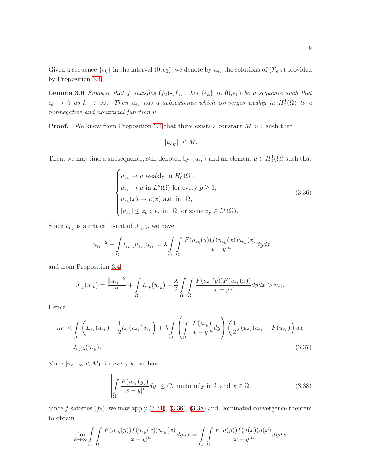<span id="page-18-3"></span>Given a sequence  $\{\epsilon_k\}$  in the interval  $(0, \epsilon_0)$ , we denote by  $u_{\epsilon_k}$  the solutions of  $(\mathcal{P}_{\epsilon,\lambda})$  provided by Proposition [3.4.](#page-14-1)

**Lemma 3.6** Suppose that f satisfies  $(f_2)$ - $(f_5)$ . Let  $\{\epsilon_k\}$  in  $(0, \epsilon_0)$  be a sequence such that  $\epsilon_k \to 0$  as  $k \to \infty$ . Then  $u_{\epsilon_k}$  has a subsequence which converges weakly in  $H_0^1(\Omega)$  to a nonnegative and nontrivial function u.

**Proof.** We know from Proposition [3.4](#page-14-1) that there exists a constant  $M > 0$  such that

<span id="page-18-0"></span>
$$
||u_{\epsilon_K}|| \leq M.
$$

Then, we may find a subsequence, still denoted by  $\{u_{\epsilon_k}\}\$  and an element  $u \in H_0^1(\Omega)$  such that

$$
\begin{cases} u_{\epsilon_k} \rightharpoonup u \text{ weakly in } H_0^1(\Omega), \\ u_{\epsilon_k} \rightarrow u \text{ in } L^p(\Omega) \text{ for every } p \ge 1, \\ u_{\epsilon_k}(x) \rightarrow u(x) \text{ a.e. in } \Omega, \\ |u_{\epsilon_k}| \le z_p \text{ a.e. in } \Omega \text{ for some } z_p \in L^p(\Omega). \end{cases}
$$
(3.36)

Since  $u_{\epsilon_k}$  is a critical point of  $J_{\epsilon_k,\lambda}$ , we have

$$
||u_{\epsilon_k}||^2 + \int_{\Omega} l_{\epsilon_K}(u_{\epsilon_k})u_{\epsilon_k} = \lambda \int_{\Omega} \int_{\Omega} \frac{F(u_{\epsilon_k}(y))f(u_{\epsilon_k}(x))u_{\epsilon_k}(x)}{|x - y|^{\mu}} dy dx
$$

and from Proposition [3.4](#page-14-1)

$$
J_{\epsilon_k}(u_{\epsilon_k}) = \frac{\|u_{\epsilon_k}\|^2}{2} + \int_{\Omega} L_{\epsilon_k}(u_{\epsilon_k}) - \frac{\lambda}{2} \int_{\Omega} \int_{\Omega} \frac{F(u_{\epsilon_k}(y))F(u_{\epsilon_k}(x))}{|x - y|^{\mu}} dy dx > m_1.
$$

Hence

$$
m_1 < \int_{\Omega} \left( L_{\epsilon_k}(u_{\epsilon_k}) - \frac{1}{2} l_{\epsilon_k}(u_{\epsilon_k}) u_{\epsilon_k} \right) + \lambda \int_{\Omega} \left( \int_{\Omega} \frac{F(u_{\epsilon_k})}{|x - y|^{\mu}} dy \right) \left( \frac{1}{2} f(u_{\epsilon_k}) u_{\epsilon_k} - F(u_{\epsilon_k}) \right) dx
$$
  
=  $J_{\epsilon_k, \lambda}(u_{\epsilon_k}).$  (3.37)

Since  $|u_{\epsilon_k}|_{\infty} < M_1$  for every k, we have

<span id="page-18-2"></span><span id="page-18-1"></span>
$$
\left| \int_{\Omega} \frac{F(u_{\epsilon_k}(y))}{|x - y|^{\mu}} dy \right| \le C, \text{ uniformly in } k \text{ and } x \in \Omega.
$$
 (3.38)

Since  $f$  satisfies  $(f_3)$ , we may apply  $(3.31)$ ,  $(3.36)$ ,  $(3.38)$  and Dominated convergence theorem to obtain

$$
\lim_{k \to \infty} \int_{\Omega} \int_{\Omega} \frac{F(u_{\epsilon_k}(y)) f(u_{\epsilon_k}(x)) u_{\epsilon_k}(x)}{|x - y|^{\mu}} dy dx = \int_{\Omega} \int_{\Omega} \frac{F(u(y)) f(u(x)) u(x)}{|x - y|^{\mu}} dy dx
$$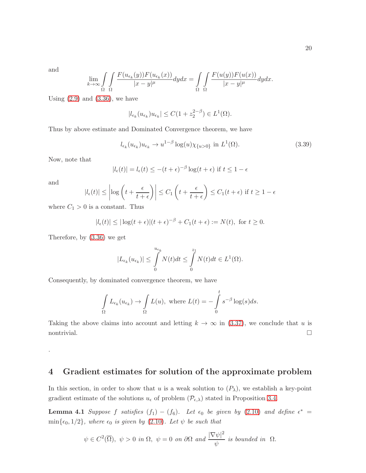and

$$
\lim_{k \to \infty} \int_{\Omega} \int_{\Omega} \frac{F(u_{\epsilon_k}(y)) F(u_{\epsilon_k}(x))}{|x - y|^{\mu}} dy dx = \int_{\Omega} \int_{\Omega} \frac{F(u(y)) F(u(x))}{|x - y|^{\mu}} dy dx.
$$

Using  $(2.9)$  and  $(3.36)$ , we have

$$
|l_{\epsilon_k}(u_{\epsilon_k})u_{\epsilon_k}| \le C(1+z_2^{2-\beta}) \in L^1(\Omega).
$$

Thus by above estimate and Dominated Convergence theorem, we have

$$
l_{\epsilon_k}(u_{\epsilon_k})u_{\epsilon_k} \to u^{1-\beta} \log(u)\chi_{\{u>0\}} \text{ in } L^1(\Omega). \tag{3.39}
$$

Now, note that

$$
|l_{\epsilon}(t)| = l_{\epsilon}(t) \le -(t + \epsilon)^{-\beta} \log(t + \epsilon)
$$
 if  $t \le 1 - \epsilon$ 

and

<span id="page-19-1"></span>.

$$
|l_{\epsilon}(t)| \le \left| \log \left( t + \frac{\epsilon}{t + \epsilon} \right) \right| \le C_1 \left( t + \frac{\epsilon}{t + \epsilon} \right) \le C_1 (t + \epsilon) \text{ if } t \ge 1 - \epsilon
$$

where  $C_1 > 0$  is a constant. Thus

$$
|l_{\epsilon}(t)| \leq |\log(t+\epsilon)|(t+\epsilon)^{-\beta} + C_1(t+\epsilon) := N(t), \text{ for } t \geq 0.
$$

Therefore, by [\(3.36\)](#page-18-0) we get

$$
|L_{\epsilon_k}(u_{\epsilon_k})| \leq \int\limits_0^{u_{\epsilon_k}} N(t)dt \leq \int\limits_0^{z_1} N(t)dt \in L^1(\Omega).
$$

Consequently, by dominated convergence theorem, we have

$$
\int_{\Omega} L_{\epsilon_k}(u_{\epsilon_k}) \to \int_{\Omega} L(u), \text{ where } L(t) = -\int_{0}^{t} s^{-\beta} \log(s) ds.
$$

Taking the above claims into account and letting  $k \to \infty$  in [\(3.37\)](#page-18-2), we conclude that u is  $\Box$ nontrivial.

# 4 Gradient estimates for solution of the approximate problem

In this section, in order to show that u is a weak solution to  $(P_\lambda)$ , we establish a key-point gradient estimate of the solutions  $u_{\epsilon}$  of problem  $(\mathcal{P}_{\epsilon,\lambda})$  stated in Proposition [3.4.](#page-14-1)

**Lemma 4.1** Suppose f satisfies  $(f_1) - (f_6)$ . Let  $\epsilon_0$  be given by [\(2.10\)](#page-5-7) and define  $\epsilon^*$  =  $\min\{\epsilon_0, 1/2\}$ , where  $\epsilon_0$  is given by [\(2.10\)](#page-5-7). Let  $\psi$  be such that

<span id="page-19-0"></span>
$$
\psi \in C^2(\overline{\Omega}), \ \psi > 0 \ \text{in } \Omega, \ \psi = 0 \ \text{on } \partial\Omega \ \text{and} \ \frac{|\nabla \psi|^2}{\psi} \ \text{is bounded in } \ \Omega.
$$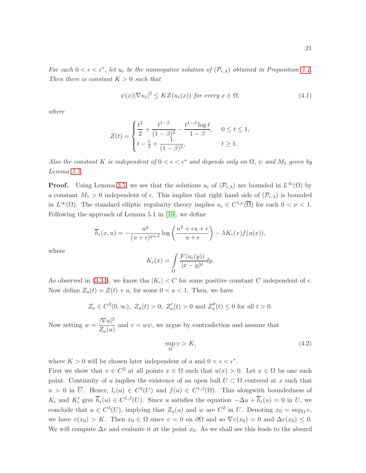For each  $0 < \epsilon < \epsilon^*$ , let  $u_{\epsilon}$  be the nonnegative solution of  $(\mathcal{P}_{\epsilon,\lambda})$  obtained in Proposition [3.4.](#page-14-1) Then there is constant  $K > 0$  such that

$$
\psi(x)|\nabla u_{\epsilon}|^{2} \le KZ(u_{\epsilon}(x)) \text{ for every } x \in \Omega,
$$
\n(4.1)

where

$$
Z(t) = \begin{cases} \frac{t^2}{2} + \frac{t^{1-\beta}}{(1-\beta)^2} - \frac{t^{1-\beta}\log t}{1-\beta}, & 0 \le t \le 1, \\ t - \frac{1}{2} + \frac{1}{(1-\beta)^2}, & t \ge 1. \end{cases}
$$

Also the constant K is independent of  $0 < \epsilon < \epsilon^*$  and depends only on  $\Omega$ ,  $\psi$  and  $M_1$  given by Lemma [3.5.](#page-16-2)

**Proof.** Using Lemma [3.5,](#page-16-2) we see that the solutions  $u_{\epsilon}$  of  $(\mathcal{P}_{\epsilon,\lambda})$  are bounded in  $L^{\infty}(\Omega)$  by a constant  $M_1 > 0$  independent of  $\epsilon$ . This implies that right hand side of  $(\mathcal{P}_{\epsilon,\lambda})$  is bounded in  $L^{\infty}(\Omega)$ . The standard elliptic regularity theory implies  $u_{\epsilon} \in C^{1,\nu}(\overline{\Omega})$  for each  $0 < \nu < 1$ . Following the approach of Lemma 5.1 in [\[10\]](#page-26-0), we define

$$
\overline{h}_{\epsilon}(x, u) = -\frac{u^q}{(u+\epsilon)^{q+\beta}} \log \left( \frac{u^2 + \epsilon u + \epsilon}{u+\epsilon} \right) - \lambda K_{\epsilon}(x) f(u(x)),
$$

where

$$
K_{\epsilon}(x) = \int_{\Omega} \frac{F(u_{\epsilon}(y))}{|x - y|^{\mu}} dy.
$$

As observed in [\(3.34\)](#page-17-2), we know tha  $|K_{\epsilon}| < C$  for some positive constant C independent of  $\epsilon$ . Now define  $Z_a(t) = Z(t) + a$ , for some  $0 < a < 1$ . Then, we have

$$
Z_a \in C^2(0, \infty)
$$
,  $Z_a(t) > 0$ ,  $Z'_a(t) > 0$  and  $Z''_a(t) \le 0$  for all  $t > 0$ .

Now setting  $w = \frac{|\nabla u|^2}{Z}$  $\frac{1}{Z_a(u)}$  and  $v = w\psi$ , we argue by contradiction and assume that

$$
\sup_{\Omega} v > K,\tag{4.2}
$$

where  $K > 0$  will be chosen later independent of a and  $0 < \epsilon < \epsilon^*$ .

First we show that  $v \in C^2$  at all points  $x \in \Omega$  such that  $u(x) > 0$ . Let  $x \in \Omega$  be one such point. Continuity of u implies the existence of an open ball  $U \subset \Omega$  centered at x such that  $u > 0$  in  $\overline{U}$ . Hence,  $l_{\epsilon}(u) \in C^2(U)$  and  $f(u) \in C^{1,\beta}(\Omega)$ . This alongwith boundedness of  $K_{\epsilon}$  and  $K'_{\epsilon}$  give  $\overline{h}_{\epsilon}(u) \in C^{1,\beta}(U)$ . Since u satisfies the equation  $-\Delta u + \overline{h}_{\epsilon}(u) = 0$  in U, we conclude that  $u \in C^3(U)$ , implying that  $Z_a(u)$  and w are  $C^2$  in U. Denoting  $x_0 = \sup_{\Omega} v$ , we have  $v(x_0) > K$ . Then  $x_0 \in \Omega$  since  $v = 0$  on  $\partial\Omega$  and so  $\nabla v(x_0) = 0$  and  $\Delta v(x_0) \leq 0$ . We will compute  $\Delta v$  and evaluate it at the point  $x_0$ . As we shall see this leads to the absurd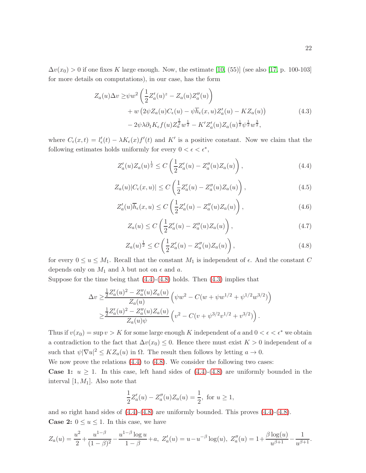$\Delta v(x_0) > 0$  if one fixes K large enough. Now, the estimate [\[10,](#page-26-0) (55)] (see also [\[17,](#page-26-1) p. 100-103] for more details on computations), in our case, has the form

$$
Z_a(u)\Delta v \ge \psi w^2 \left(\frac{1}{2}Z_a'(u)^z - Z_a(u)Z_a''(u)\right) + w \left(2\psi Z_a(u)C_{\epsilon}(u) - \psi \overline{h}_{\epsilon}(x,u)Z_a'(u) - KZ_a(u)\right) - 2\psi \lambda \partial_1 K_{\epsilon} f(u)Z_a^{\frac{1}{2}}w^{\frac{1}{2}} - K'Z_a'(u)Z_a(u)^{\frac{1}{2}}\psi^{\frac{1}{2}}w^{\frac{3}{2}},
$$
\n(4.3)

where  $C_{\epsilon}(x,t) = l'_{\epsilon}(t) - \lambda K_{\epsilon}(x)f'(t)$  and K' is a positive constant. Now we claim that the following estimates holds uniformly for every  $0 < \epsilon < \epsilon^*$ ,

<span id="page-21-2"></span><span id="page-21-0"></span>
$$
Z'_a(u)Z_a(u)^{\frac{1}{2}} \le C\left(\frac{1}{2}Z'_a(u) - Z''_a(u)Z_a(u)\right),\tag{4.4}
$$

<span id="page-21-5"></span>
$$
Z_a(u)|C_{\epsilon}(x,u)| \le C\left(\frac{1}{2}Z_a'(u) - Z_a''(u)Z_a(u)\right),\tag{4.5}
$$

<span id="page-21-4"></span>
$$
Z'_a(u)\overline{h}_{\epsilon}(x,u) \le C\left(\frac{1}{2}Z'_a(u) - Z''_a(u)Z_a(u)\right),\tag{4.6}
$$

<span id="page-21-3"></span>
$$
Z_a(u) \le C\left(\frac{1}{2}Z'_a(u) - Z''_a(u)Z_a(u)\right),
$$
\n(4.7)

<span id="page-21-1"></span>
$$
Z_a(u)^{\frac{1}{2}} \le C\left(\frac{1}{2}Z_a'(u) - Z_a''(u)Z_a(u)\right),\tag{4.8}
$$

for every  $0 \le u \le M_1$ . Recall that the constant  $M_1$  is independent of  $\epsilon$ . And the constant C depends only on  $M_1$  and  $\lambda$  but not on  $\epsilon$  and  $\alpha$ .

Suppose for the time being that  $(4.4)-(4.8)$  $(4.4)-(4.8)$  holds. Then  $(4.3)$  implies that

$$
\Delta v \ge \frac{\frac{1}{2}Z_a'(u)^2 - Z_a''(u)Z_a(u)}{Z_a(u)} \left(\psi w^2 - C(w + \psi w^{1/2} + \psi^{1/2} w^{3/2})\right)
$$
  

$$
\ge \frac{\frac{1}{2}Z_a'(u)^2 - Z_a''(u)Z_a(u)}{Z_a(u)\psi} \left(v^2 - C(v + \psi^{3/2}v^{1/2} + v^{3/2})\right).
$$

Thus if  $v(x_0) = \sup v > K$  for some large enough K independent of a and  $0 < \epsilon < \epsilon^*$  we obtain a contradiction to the fact that  $\Delta v(x_0) \leq 0$ . Hence there must exist  $K > 0$  independent of a such that  $\psi |\nabla u|^2 \le KZ_a(u)$  in  $\Omega$ . The result then follows by letting  $a \to 0$ .

We now prove the relations  $(4.4)$  to  $(4.8)$ . We consider the following two cases: **Case 1:**  $u \geq 1$ . In this case, left hand sides of  $(4.4)-(4.8)$  $(4.4)-(4.8)$  are uniformly bounded in the interval  $[1, M_1]$ . Also note that

$$
\frac{1}{2}Z'_a(u) - Z''_a(u)Z_a(u) = \frac{1}{2}, \text{ for } u \ge 1,
$$

and so right hand sides of [\(4.4\)](#page-21-0)-[\(4.8\)](#page-21-1) are uniformly bounded. This proves [\(4.4\)](#page-21-0)-[\(4.8\)](#page-21-1). **Case 2:**  $0 \le u \le 1$ . In this case, we have

$$
Z_a(u) = \frac{u^2}{2} + \frac{u^{1-\beta}}{(1-\beta)^2} - \frac{u^{1-\beta}\log u}{1-\beta} + a, \ Z'_a(u) = u - u^{-\beta}\log(u), \ Z''_a(u) = 1 + \frac{\beta\log(u)}{u^{\beta+1}} - \frac{1}{u^{\beta+1}}.
$$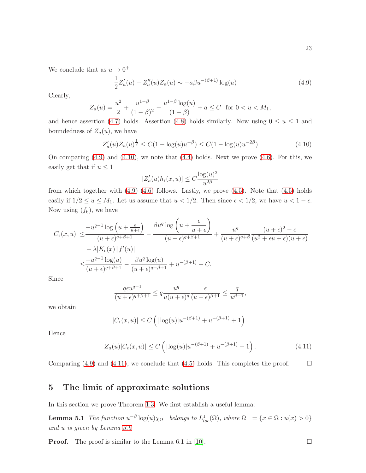We conclude that as  $u \to 0^+$ 

<span id="page-22-1"></span>
$$
\frac{1}{2}Z'_a(u) - Z''_a(u)Z_a(u) \sim -a\beta u^{-(\beta+1)}\log(u)
$$
\n(4.9)

Clearly,

$$
Z_a(u) = \frac{u^2}{2} + \frac{u^{1-\beta}}{(1-\beta)^2} - \frac{u^{1-\beta}\log(u)}{(1-\beta)} + a \le C \text{ for } 0 < u < M_1,
$$

and hence assertion [\(4.7\)](#page-21-3) holds. Assertion [\(4.8\)](#page-21-1) holds similarly. Now using  $0 \le u \le 1$  and boundedness of  $Z_a(u)$ , we have

<span id="page-22-2"></span>
$$
Z'_a(u)Z_a(u)^{\frac{1}{2}} \le C(1 - \log(u)u^{-\beta}) \le C(1 - \log(u)u^{-2\beta})\tag{4.10}
$$

On comparing  $(4.9)$  and  $(4.10)$ , we note that  $(4.4)$  holds. Next we prove  $(4.6)$ . For this, we easily get that if  $u \leq 1$ 

$$
|Z'_a(u)\bar{h_{\epsilon}}(x,u)| \leq C \frac{\log(u)^2}{u^{2\beta}}
$$

from which together with  $(4.9)$   $(4.6)$  follows. Lastly, we prove  $(4.5)$ . Note that  $(4.5)$  holds easily if  $1/2 \le u \le M_1$ . Let us assume that  $u < 1/2$ . Then since  $\epsilon < 1/2$ , we have  $u < 1 - \epsilon$ . Now using  $(f_6)$ , we have

$$
|C_{\epsilon}(x,u)| \leq \frac{-u^{q-1}\log\left(u+\frac{\epsilon}{u+\epsilon}\right)}{(u+\epsilon)^{q+\beta+1}} - \frac{\beta u^q \log\left(u+\frac{\epsilon}{u+\epsilon}\right)}{(u+\epsilon)^{q+\beta+1}} + \frac{u^q}{(u+\epsilon)^{q+\beta}}\frac{(u+\epsilon)^2 - \epsilon}{(u^2+\epsilon u+\epsilon)(u+\epsilon)} + \lambda |K_{\epsilon}(x)||f'(u)|
$$
  

$$
\leq \frac{-u^{q-1}\log(u)}{(u+\epsilon)^{q+\beta+1}} - \frac{\beta u^q \log(u)}{(u+\epsilon)^{q+\beta+1}} + u^{-(\beta+1)} + C.
$$

Since

$$
\frac{q\epsilon u^{q-1}}{(u+\epsilon)^{q+\beta+1}} \le q\frac{u^q}{u(u+\epsilon)^q} \frac{\epsilon}{(u+\epsilon)^{\beta+1}} \le \frac{q}{u^{\beta+1}},
$$

we obtain

$$
|C_{\epsilon}(x, u)| \le C \left( |\log(u)| u^{-(\beta+1)} + u^{-(\beta+1)} + 1 \right).
$$

Hence

$$
Z_a(u)|C_{\epsilon}(x,u)| \le C\left(|\log(u)|u^{-(\beta+1)} + u^{-(\beta+1)} + 1\right). \tag{4.11}
$$

<span id="page-22-0"></span>Comparing [\(4.9\)](#page-22-1) and [\(4.11\)](#page-22-3), we conclude that [\(4.5\)](#page-21-5) holds. This completes the proof.  $\square$ 

#### 5 The limit of approximate solutions

In this section we prove Theorem [1.3.](#page-1-0) We first establish a useful lemma:

**Lemma 5.1** The function  $u^{-\beta} \log(u)\chi_{\Omega_+}$  belongs to  $L^1_{loc}(\Omega)$ , where  $\Omega_+ = \{x \in \Omega : u(x) > 0\}$ and u is given by Lemma [3.6](#page-18-3)

**Proof.** The proof is similar to the Lemma 6.1 in [\[10\]](#page-26-0).  $\Box$ 

<span id="page-22-4"></span><span id="page-22-3"></span>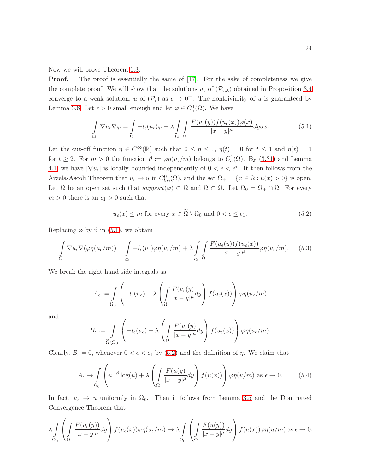Now we will prove Theorem [1.3.](#page-1-0)

**Proof.** The proof is essentially the same of [\[17\]](#page-26-1). For the sake of completeness we give the complete proof. We will show that the solutions  $u_{\epsilon}$  of  $(\mathcal{P}_{\epsilon,\lambda})$  obtained in Proposition [3.4](#page-14-1) converge to a weak solution, u of  $(\mathcal{P}_{\epsilon})$  as  $\epsilon \to 0^+$ . The nontriviality of u is guaranteed by Lemma [3.6.](#page-18-3) Let  $\epsilon > 0$  small enough and let  $\varphi \in C_c^1(\Omega)$ . We have

<span id="page-23-0"></span>
$$
\int_{\Omega} \nabla u_{\epsilon} \nabla \varphi = \int_{\Omega} -l_{\epsilon}(u_{\epsilon}) \varphi + \lambda \int_{\Omega} \int_{\Omega} \frac{F(u_{\epsilon}(y)) f(u_{\epsilon}(x)) \varphi(x)}{|x - y|^{\mu}} dy dx.
$$
\n(5.1)

Let the cut-off function  $\eta \in C^{\infty}(\mathbb{R})$  such that  $0 \leq \eta \leq 1$ ,  $\eta(t) = 0$  for  $t \leq 1$  and  $\eta(t) = 1$ for  $t \geq 2$ . For  $m > 0$  the function  $\vartheta := \varphi \eta(u_{\epsilon}/m)$  belongs to  $C_c^1(\Omega)$ . By  $(3.31)$  and Lemma [4.1,](#page-19-0) we have  $|\nabla u_{\epsilon}|$  is locally bounded independently of  $0 < \epsilon < \epsilon^*$ . It then follows from the Arzela-Ascoli Theorem that  $u_{\epsilon} \to u$  in  $C^0_{loc}(\Omega)$ , and the set  $\Omega_{+} = \{x \in \Omega : u(x) > 0\}$  is open. Let  $\tilde{\Omega}$  be an open set such that  $support(\varphi) \subset \tilde{\Omega}$  and  $\tilde{\Omega} \subset \Omega$ . Let  $\Omega_0 = \Omega_+ \cap \tilde{\Omega}$ . For every  $m > 0$  there is an  $\epsilon_1 > 0$  such that

<span id="page-23-1"></span>
$$
u_{\epsilon}(x) \le m \text{ for every } x \in \tilde{\Omega} \setminus \Omega_0 \text{ and } 0 < \epsilon \le \epsilon_1. \tag{5.2}
$$

Replacing  $\varphi$  by  $\vartheta$  in [\(5.1\)](#page-23-0), we obtain

<span id="page-23-3"></span>
$$
\int_{\Omega} \nabla u_{\epsilon} \nabla (\varphi \eta(u_{\epsilon}/m)) = \int_{\widetilde{\Omega}} -l_{\epsilon}(u_{\epsilon}) \varphi \eta(u_{\epsilon}/m) + \lambda \int_{\widetilde{\Omega}} \int_{\Omega} \frac{F(u_{\epsilon}(y)) f(u_{\epsilon}(x))}{|x - y|^{\mu}} \varphi \eta(u_{\epsilon}/m). \tag{5.3}
$$

We break the right hand side integrals as

$$
A_{\epsilon} := \int\limits_{\Omega_0} \left( -l_{\epsilon}(u_{\epsilon}) + \lambda \left( \int\limits_{\Omega} \frac{F(u_{\epsilon}(y))}{|x - y|^{\mu}} dy \right) f(u_{\epsilon}(x)) \right) \varphi \eta(u_{\epsilon}/m)
$$

and

$$
B_{\epsilon} := \int\limits_{\widetilde{\Omega} \backslash \Omega_{0}} \left( -l_{\epsilon}(u_{\epsilon}) + \lambda \left( \int\limits_{\Omega} \frac{F(u_{\epsilon}(y))}{|x-y|^{\mu}} dy \right) f(u_{\epsilon}(x)) \right) \varphi \eta(u_{\epsilon}/m).
$$

Clearly,  $B_{\epsilon} = 0$ , whenever  $0 < \epsilon < \epsilon_1$  by [\(5.2\)](#page-23-1) and the definition of  $\eta$ . We claim that

<span id="page-23-2"></span>
$$
A_{\epsilon} \to \int_{\Omega_0} \left( u^{-\beta} \log(u) + \lambda \left( \int_{\Omega} \frac{F(u(y))}{|x - y|^{\mu}} dy \right) f(u(x)) \right) \varphi \eta(u/m) \text{ as } \epsilon \to 0. \tag{5.4}
$$

In fact,  $u_{\epsilon} \to u$  uniformly in  $\Omega_0$ . Then it follows from Lemma [3.5](#page-16-2) and the Dominated Convergence Theorem that

$$
\lambda \int_{\Omega_0} \left( \int_{\Omega} \frac{F(u_{\epsilon}(y))}{|x-y|^{\mu}} dy \right) f(u_{\epsilon}(x)) \varphi \eta(u_{\epsilon}/m) \to \lambda \int_{\Omega_0} \left( \int_{\Omega} \frac{F(u(y))}{|x-y|^{\mu}} dy \right) f(u(x)) \varphi \eta(u/m) \text{ as } \epsilon \to 0.
$$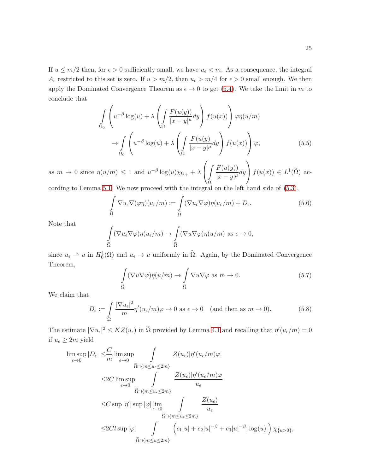If  $u \leq m/2$  then, for  $\epsilon > 0$  sufficiently small, we have  $u_{\epsilon} < m$ . As a consequence, the integral  $A_{\epsilon}$  restricted to this set is zero. If  $u > m/2$ , then  $u_{\epsilon} > m/4$  for  $\epsilon > 0$  small enough. We then apply the Dominated Convergence Theorem as  $\epsilon \to 0$  to get [\(5.4\)](#page-23-2). We take the limit in m to conclude that

$$
\int_{\Omega_0} \left( u^{-\beta} \log(u) + \lambda \left( \int_{\Omega} \frac{F(u(y))}{|x - y|^{\mu}} dy \right) f(u(x)) \right) \varphi \eta(u/m)
$$

$$
\to \int_{\Omega_0} \left( u^{-\beta} \log(u) + \lambda \left( \int_{\Omega} \frac{F(u(y))}{|x - y|^{\mu}} dy \right) f(u(x)) \right) \varphi,
$$
(5.5)

as  $m \to 0$  since  $\eta(u/m) \leq 1$  and  $u^{-\beta} \log(u)\chi_{\Omega_+} + \lambda$  $\sqrt{ }$  $\mathbf{I}$ z Ω  $F(u(y))$  $\frac{1}{|x-y|^{\mu}}dy$  $\setminus$  $f(u(x)) \in L^1(\tilde{\Omega})$  ac-

cording to Lemma [5.1.](#page-22-4) We now proceed with the integral on the left hand side of [\(5.3\)](#page-23-3),

$$
\int_{\Omega} \nabla u_{\epsilon} \nabla (\varphi \eta) (u_{\epsilon}/m) := \int_{\widetilde{\Omega}} (\nabla u_{\epsilon} \nabla \varphi) \eta (u_{\epsilon}/m) + D_{\epsilon}.
$$
\n(5.6)

Note that

$$
\int_{\widetilde{\Omega}} (\nabla u_{\epsilon} \nabla \varphi) \eta(u_{\epsilon}/m) \to \int_{\widetilde{\Omega}} (\nabla u \nabla \varphi) \eta(u/m) \text{ as } \epsilon \to 0,
$$

since  $u_{\epsilon} \to u$  in  $H_0^1(\Omega)$  and  $u_{\epsilon} \to u$  uniformly in  $\tilde{\Omega}$ . Again, by the Dominated Convergence Theorem,

$$
\int_{\widetilde{\Omega}} (\nabla u \nabla \varphi) \eta(u/m) \to \int_{\widetilde{\Omega}} \nabla u \nabla \varphi \text{ as } m \to 0.
$$
 (5.7)

We claim that

<span id="page-24-0"></span>
$$
D_{\epsilon} := \int_{\Omega} \frac{|\nabla u_{\epsilon}|^2}{m} \eta'(u_{\epsilon}/m)\varphi \to 0 \text{ as } \epsilon \to 0 \quad \text{(and then as } m \to 0).
$$
 (5.8)

The estimate  $|\nabla u_{\epsilon}|^2 \le KZ(u_{\epsilon})$  in  $\Omega$  provided by Lemma [4.1](#page-19-0) and recalling that  $\eta'(u_{\epsilon}/m) = 0$ if  $u_{\epsilon} \geq 2m$  yield

$$
\begin{split} \limsup_{\epsilon \to 0} |D_{\epsilon}| &\leq \frac{C}{m} \limsup_{\epsilon \to 0} \int_{\widetilde{\Omega} \cap \{m \leq u_{\epsilon} \leq 2m\}} Z(u_{\epsilon}) |\eta'(u_{\epsilon}/m)\varphi| \\ &\leq & 2C \limsup_{\epsilon \to 0} \int_{\widetilde{\Omega} \cap \{m \leq u_{\epsilon} \leq 2m\}} \frac{Z(u_{\epsilon}) |\eta'(u_{\epsilon}/m)\varphi|}{u_{\epsilon}} \\ &\leq & C \sup |\eta'| \sup |\varphi| \lim_{\epsilon \to 0} \int_{\widetilde{\Omega} \cap \{m \leq u_{\epsilon} \leq 2m\}} \frac{Z(u_{\epsilon})}{u_{\epsilon}} \\ &\leq & 2C l \sup |\varphi| \int_{\widetilde{\Omega} \cap \{m \leq u \leq 2m\}} \left( c_{1} |u| + c_{2} |u|^{-\beta} + c_{3} |u|^{-\beta} |\log(u)| \right) \chi_{\{u > 0\}}, \end{split}
$$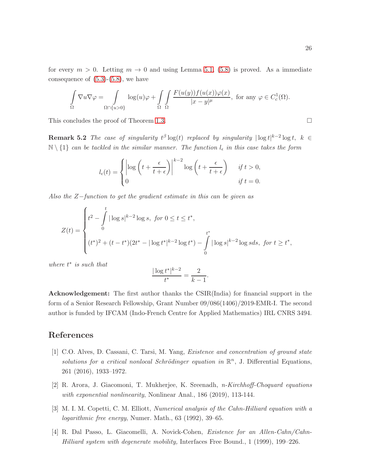$$
\int_{\Omega} \nabla u \nabla \varphi = \int_{\Omega \cap \{u > 0\}} \log(u) \varphi + \int_{\Omega} \int_{\Omega} \frac{F(u(y)) f(u(x)) \varphi(x)}{|x - y|^{\mu}}, \text{ for any } \varphi \in C_c^1(\Omega).
$$

This concludes the proof of Theorem [1.3.](#page-1-0)

**Remark 5.2** The case of singularity  $t^{\beta} \log(t)$  replaced by singularity  $|\log t|^{k-2} \log t$ ,  $k \in$  $\mathbb{N} \setminus \{1\}$  can be tackled in the similar manner. The function  $l_{\epsilon}$  in this case takes the form

$$
l_{\epsilon}(t) = \begin{cases} \left| \log \left( t + \frac{\epsilon}{t + \epsilon} \right) \right|^{k-2} \log \left( t + \frac{\epsilon}{t + \epsilon} \right) & \text{if } t > 0, \\ 0 & \text{if } t = 0. \end{cases}
$$

Also the Z−function to get the gradient estimate in this can be given as

$$
Z(t) = \begin{cases} t^2 - \int_0^t |\log s|^{k-2} \log s, & \text{for } 0 \le t \le t^*, \\ 0 & \text{if } t^* \end{cases}
$$
  

$$
(t^*)^2 + (t - t^*)(2t^* - |\log t^*|^{k-2} \log t^*) - \int_0^{t^*} |\log s|^{k-2} \log s ds, & \text{for } t \ge t^*,
$$

where  $t^*$  is such that

$$
\frac{|\log t^*|^{k-2}}{t^*} = \frac{2}{k-1}.
$$

Acknowledgement: The first author thanks the CSIR(India) for financial support in the form of a Senior Research Fellowship, Grant Number 09/086(1406)/2019-EMR-I. The second author is funded by IFCAM (Indo-French Centre for Applied Mathematics) IRL CNRS 3494.

# <span id="page-25-3"></span>References

- [1] C.O. Alves, D. Cassani, C. Tarsi, M. Yang, Existence and concentration of ground state solutions for a critical nonlocal Schrödinger equation in  $\mathbb{R}^n$ , J. Differential Equations, 261 (2016), 1933–1972.
- <span id="page-25-1"></span><span id="page-25-0"></span>[2] R. Arora, J. Giacomoni, T. Mukherjee, K. Sreenadh, n-Kirchhoff-Choquard equations with exponential nonlinearity, Nonlinear Anal., 186 (2019), 113-144.
- <span id="page-25-2"></span>[3] M. I. M. Copetti, C. M. Elliott, Numerical analysis of the Cahn-Hilliard equation with a logarithmic free energy, Numer. Math., 63 (1992), 39–65.
- [4] R. Dal Passo, L. Giacomelli, A. Novick-Cohen, Existence for an Allen-Cahn/Cahn-Hilliard system with degenerate mobility, Interfaces Free Bound., 1 (1999), 199–226.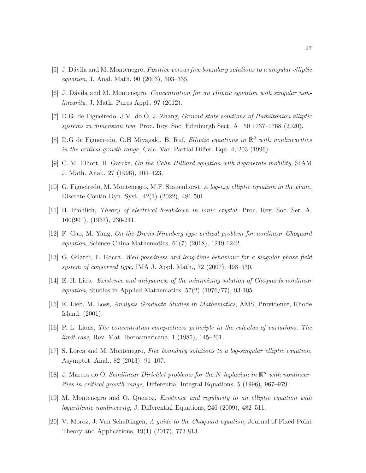- <span id="page-26-12"></span><span id="page-26-11"></span>[5] J. Dávila and M. Montenegro, *Positive versus free boundary solutions to a singular elliptic* equation, J. Anal. Math. 90 (2003), 303–335.
- <span id="page-26-7"></span>[6] J. Dávila and M. Montenegro, *Concentration for an elliptic equation with singular non*linearity, J. Math. Pures Appl., 97 (2012).
- <span id="page-26-8"></span>[7] D.G. de Figueiredo, J.M. do  $\acute{O}$ , J. Zhang, *Ground state solutions of Hamiltonian elliptic* systems in dimension two, Proc. Roy. Soc. Edinburgh Sect. A 150 1737–1768 (2020).
- <span id="page-26-9"></span>[8] D.G de Figueiredo, O.H Miyagaki, B. Ruf, *Elliptic equations in*  $\mathbb{R}^2$  with nonlinearities in the critical growth range, Calc. Var. Partial Differ. Equ. 4, 203 (1996).
- <span id="page-26-0"></span>[9] C. M. Elliott, H. Garcke, On the Cahn-Hilliard equation with degenerate mobility, SIAM J. Math. Anal., 27 (1996), 404–423.
- <span id="page-26-2"></span>[10] G. Figueiredo, M. Montenegro, M.F. Stapenhorst, A log-exp elliptic equation in the plane, Discrete Contin Dyn. Syst., 42(1) (2022), 481-501.
- <span id="page-26-4"></span>[11] H. Fröhlich, Theory of electrical breakdown in ionic crystal, Proc. Roy. Soc. Ser. A, 160(901), (1937), 230-241.
- <span id="page-26-10"></span>[12] F. Gao, M. Yang, On the Brezis-Nirenberg type critical problem for nonlinear Choquard equation, Science China Mathematics,  $61(7)$   $(2018)$ ,  $1219-1242$ .
- <span id="page-26-3"></span>[13] G. Gilardi, E. Rocca, Well-posedness and long-time behaviour for a singular phase field system of conserved type, IMA J. Appl. Math., 72 (2007), 498–530.
- <span id="page-26-15"></span>[14] E. H. Lieb, Existence and uniqueness of the minimizing solution of Choquards nonlinear *equation*, Studies in Applied Mathematics,  $57(2)$   $(1976/77)$ ,  $93-105$ .
- <span id="page-26-14"></span>[15] E. Lieb, M. Loss, Analysis Graduate Studies in Mathematics, AMS, Providence, Rhode Island, (2001).
- <span id="page-26-1"></span>[16] P. L. Lions, The concentration-compactness principle in the calculus of variations. The limit case, Rev. Mat. Iberoamericana, 1 (1985), 145–201.
- <span id="page-26-6"></span>[17] S. Lorca and M. Montenegro, Free boundary solutions to a log-singular elliptic equation, Asymptot. Anal., 82 (2013), 91–107.
- <span id="page-26-13"></span>[18] J. Marcos do Ó, Semilinear Dirichlet problems for the N-laplacian in  $\mathbb{R}^n$  with nonlinearities in critical growth range, Differential Integral Equations, 5 (1996), 967–979.
- <span id="page-26-5"></span>[19] M. Montenegro and O. Queiroz, Existence and regularity to an elliptic equation with logarithmic nonlinearity, J. Differential Equations, 246 (2009), 482–511.
- [20] V. Moroz, J. Van Schaftingen, A guide to the Choquard equation, Journal of Fixed Point Theory and Applications, 19(1) (2017), 773-813.